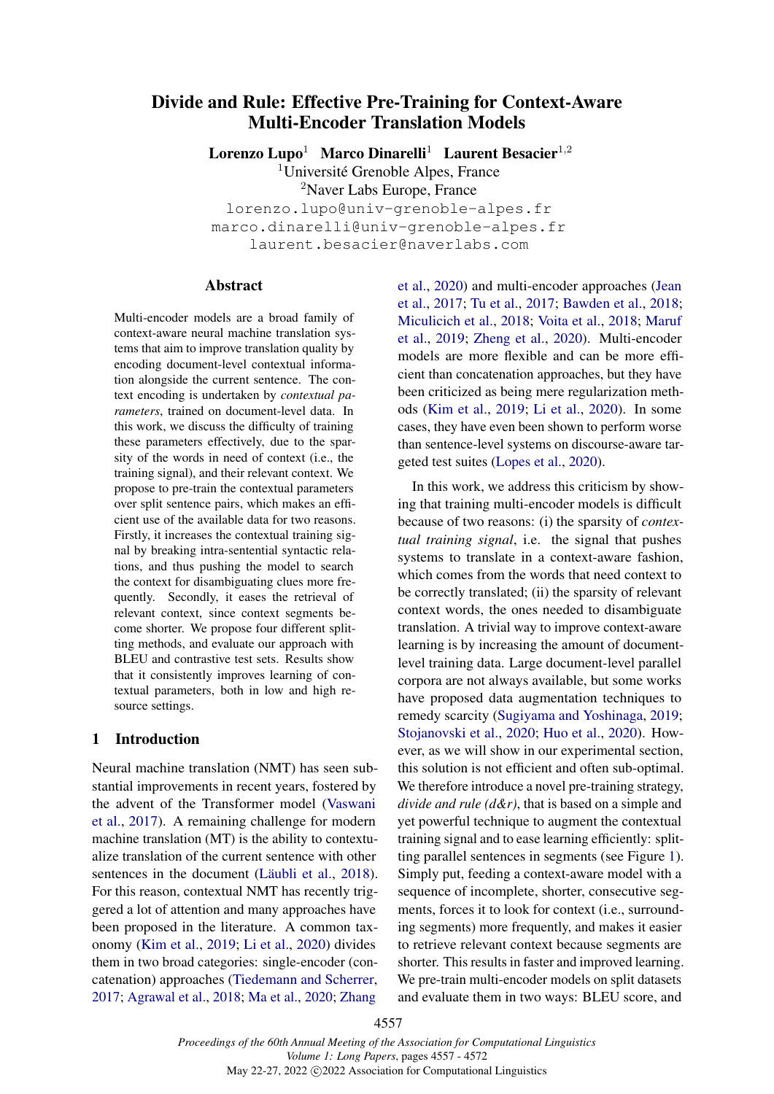# Divide and Rule: Effective Pre-Training for Context-Aware Multi-Encoder Translation Models

Lorenzo Lupo<sup>1</sup> Marco Dinarelli<sup>1</sup> Laurent Besacier<sup>1,2</sup> <sup>1</sup>Université Grenoble Alpes, France <sup>2</sup>Naver Labs Europe, France lorenzo.lupo@univ-grenoble-alpes.fr marco.dinarelli@univ-grenoble-alpes.fr laurent.besacier@naverlabs.com

# **Abstract**

Multi-encoder models are a broad family of context-aware neural machine translation systems that aim to improve translation quality by encoding document-level contextual information alongside the current sentence. The context encoding is undertaken by *contextual parameters*, trained on document-level data. In this work, we discuss the difficulty of training these parameters effectively, due to the sparsity of the words in need of context (i.e., the training signal), and their relevant context. We propose to pre-train the contextual parameters over split sentence pairs, which makes an efficient use of the available data for two reasons. Firstly, it increases the contextual training signal by breaking intra-sentential syntactic relations, and thus pushing the model to search the context for disambiguating clues more frequently. Secondly, it eases the retrieval of relevant context, since context segments become shorter. We propose four different splitting methods, and evaluate our approach with BLEU and contrastive test sets. Results show that it consistently improves learning of contextual parameters, both in low and high resource settings.

# 1 Introduction

Neural machine translation (NMT) has seen substantial improvements in recent years, fostered by the advent of the Transformer model [\(Vaswani](#page-11-0) [et al.,](#page-11-0) [2017\)](#page-11-0). A remaining challenge for modern machine translation (MT) is the ability to contextualize translation of the current sentence with other sentences in the document [\(Läubli et al.,](#page-9-0) [2018\)](#page-9-0). For this reason, contextual NMT has recently triggered a lot of attention and many approaches have been proposed in the literature. A common taxonomy [\(Kim et al.,](#page-9-1) [2019;](#page-9-1) [Li et al.,](#page-10-0) [2020\)](#page-10-0) divides them in two broad categories: single-encoder (concatenation) approaches [\(Tiedemann and Scherrer,](#page-11-1) [2017;](#page-11-1) [Agrawal et al.,](#page-8-0) [2018;](#page-8-0) [Ma et al.,](#page-10-1) [2020;](#page-10-1) [Zhang](#page-11-2)

[et al.,](#page-11-2) [2020\)](#page-11-2) and multi-encoder approaches [\(Jean](#page-9-2) [et al.,](#page-9-2) [2017;](#page-9-2) [Tu et al.,](#page-11-3) [2017;](#page-11-3) [Bawden et al.,](#page-9-3) [2018;](#page-9-3) [Miculicich et al.,](#page-10-2) [2018;](#page-10-2) [Voita et al.,](#page-11-4) [2018;](#page-11-4) [Maruf](#page-10-3) [et al.,](#page-10-3) [2019;](#page-10-3) [Zheng et al.,](#page-11-5) [2020\)](#page-11-5). Multi-encoder models are more flexible and can be more efficient than concatenation approaches, but they have been criticized as being mere regularization methods [\(Kim et al.,](#page-9-1) [2019;](#page-9-1) [Li et al.,](#page-10-0) [2020\)](#page-10-0). In some cases, they have even been shown to perform worse than sentence-level systems on discourse-aware targeted test suites [\(Lopes et al.,](#page-10-4) [2020\)](#page-10-4).

In this work, we address this criticism by showing that training multi-encoder models is difficult because of two reasons: (i) the sparsity of *contextual training signal*, i.e. the signal that pushes systems to translate in a context-aware fashion, which comes from the words that need context to be correctly translated; (ii) the sparsity of relevant context words, the ones needed to disambiguate translation. A trivial way to improve context-aware learning is by increasing the amount of documentlevel training data. Large document-level parallel corpora are not always available, but some works have proposed data augmentation techniques to remedy scarcity [\(Sugiyama and Yoshinaga,](#page-11-6) [2019;](#page-11-6) [Stojanovski et al.,](#page-11-7) [2020;](#page-11-7) [Huo et al.,](#page-9-4) [2020\)](#page-9-4). However, as we will show in our experimental section, this solution is not efficient and often sub-optimal. We therefore introduce a novel pre-training strategy, *divide and rule (d&r)*, that is based on a simple and yet powerful technique to augment the contextual training signal and to ease learning efficiently: splitting parallel sentences in segments (see Figure [1\)](#page-1-0). Simply put, feeding a context-aware model with a sequence of incomplete, shorter, consecutive segments, forces it to look for context (i.e., surrounding segments) more frequently, and makes it easier to retrieve relevant context because segments are shorter. This results in faster and improved learning. We pre-train multi-encoder models on split datasets and evaluate them in two ways: BLEU score, and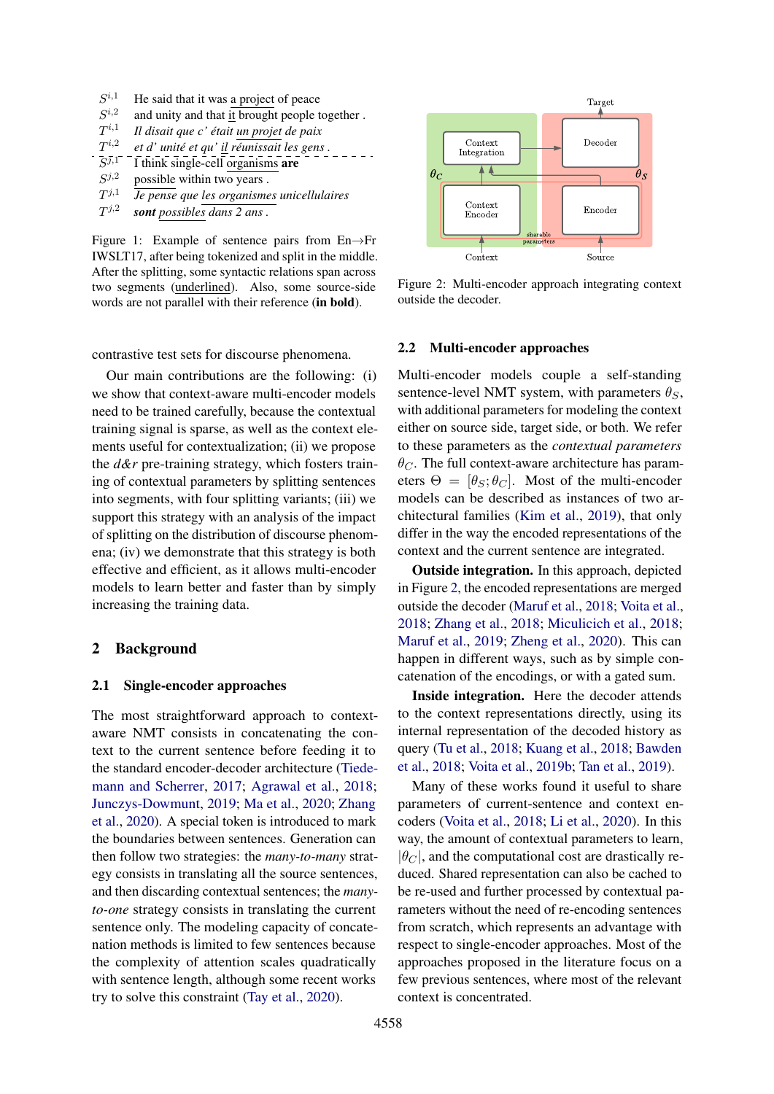- <span id="page-1-0"></span> $S^{i,1}$ He said that it was a project of peace
- $Si<sub>3</sub>$ and unity and that it brought people together.
- $T^{i,1}$ *Il disait que c' était un projet de paix*
- ${\cal T}^{i,2}$ i,<sup>2</sup> *et d' unité et qu' il réunissait les gens .*
- $\bar{S}^{\bar{j},1}$ I think single-cell organisms are
- $S^{j,2}$ possible within two years.
- $T^{j,1}$ j,<sup>1</sup> *Je pense que les organismes unicellulaires*
- $T^{j,2}$ *sont possibles dans 2 ans .*

Figure 1: Example of sentence pairs from En→Fr IWSLT17, after being tokenized and split in the middle. After the splitting, some syntactic relations span across two segments (underlined). Also, some source-side words are not parallel with their reference (in bold).

contrastive test sets for discourse phenomena.

Our main contributions are the following: (i) we show that context-aware multi-encoder models need to be trained carefully, because the contextual training signal is sparse, as well as the context elements useful for contextualization; (ii) we propose the *d&r* pre-training strategy, which fosters training of contextual parameters by splitting sentences into segments, with four splitting variants; (iii) we support this strategy with an analysis of the impact of splitting on the distribution of discourse phenomena; (iv) we demonstrate that this strategy is both effective and efficient, as it allows multi-encoder models to learn better and faster than by simply increasing the training data.

# 2 Background

#### <span id="page-1-3"></span>2.1 Single-encoder approaches

The most straightforward approach to contextaware NMT consists in concatenating the context to the current sentence before feeding it to the standard encoder-decoder architecture [\(Tiede](#page-11-1)[mann and Scherrer,](#page-11-1) [2017;](#page-11-1) [Agrawal et al.,](#page-8-0) [2018;](#page-8-0) [Junczys-Dowmunt,](#page-9-5) [2019;](#page-9-5) [Ma et al.,](#page-10-1) [2020;](#page-10-1) [Zhang](#page-11-2) [et al.,](#page-11-2) [2020\)](#page-11-2). A special token is introduced to mark the boundaries between sentences. Generation can then follow two strategies: the *many-to-many* strategy consists in translating all the source sentences, and then discarding contextual sentences; the *manyto-one* strategy consists in translating the current sentence only. The modeling capacity of concatenation methods is limited to few sentences because the complexity of attention scales quadratically with sentence length, although some recent works try to solve this constraint [\(Tay et al.,](#page-11-8) [2020\)](#page-11-8).

<span id="page-1-1"></span>

Figure 2: Multi-encoder approach integrating context outside the decoder.

### <span id="page-1-2"></span>2.2 Multi-encoder approaches

Multi-encoder models couple a self-standing sentence-level NMT system, with parameters  $\theta_s$ , with additional parameters for modeling the context either on source side, target side, or both. We refer to these parameters as the *contextual parameters*  $\theta_C$ . The full context-aware architecture has parameters  $\Theta = [\theta_S; \theta_C]$ . Most of the multi-encoder models can be described as instances of two architectural families [\(Kim et al.,](#page-9-1) [2019\)](#page-9-1), that only differ in the way the encoded representations of the context and the current sentence are integrated.

Outside integration. In this approach, depicted in Figure [2,](#page-1-1) the encoded representations are merged outside the decoder [\(Maruf et al.,](#page-10-5) [2018;](#page-10-5) [Voita et al.,](#page-11-4) [2018;](#page-11-4) [Zhang et al.,](#page-11-9) [2018;](#page-11-9) [Miculicich et al.,](#page-10-2) [2018;](#page-10-2) [Maruf et al.,](#page-10-3) [2019;](#page-10-3) [Zheng et al.,](#page-11-5) [2020\)](#page-11-5). This can happen in different ways, such as by simple concatenation of the encodings, or with a gated sum.

Inside integration. Here the decoder attends to the context representations directly, using its internal representation of the decoded history as query [\(Tu et al.,](#page-11-10) [2018;](#page-11-10) [Kuang et al.,](#page-9-6) [2018;](#page-9-6) [Bawden](#page-9-3) [et al.,](#page-9-3) [2018;](#page-9-3) [Voita et al.,](#page-11-11) [2019b;](#page-11-11) [Tan et al.,](#page-11-12) [2019\)](#page-11-12).

Many of these works found it useful to share parameters of current-sentence and context encoders [\(Voita et al.,](#page-11-4) [2018;](#page-11-4) [Li et al.,](#page-10-0) [2020\)](#page-10-0). In this way, the amount of contextual parameters to learn,  $|\theta_C|$ , and the computational cost are drastically reduced. Shared representation can also be cached to be re-used and further processed by contextual parameters without the need of re-encoding sentences from scratch, which represents an advantage with respect to single-encoder approaches. Most of the approaches proposed in the literature focus on a few previous sentences, where most of the relevant context is concentrated.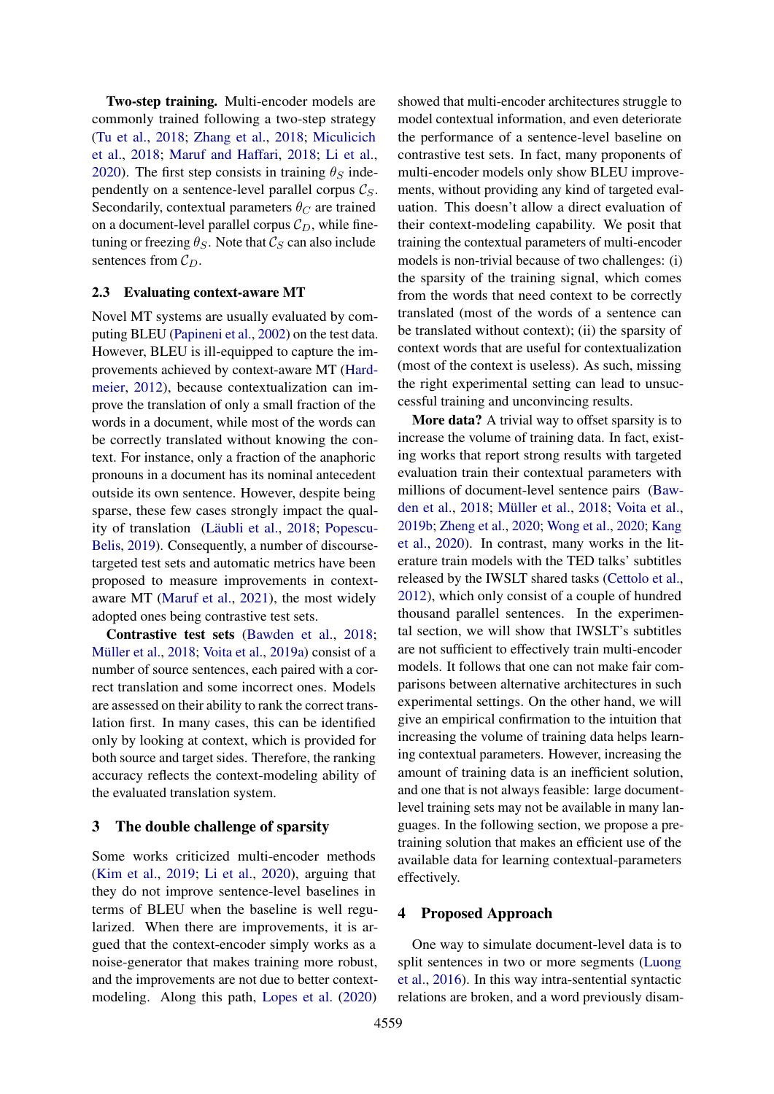Two-step training. Multi-encoder models are commonly trained following a two-step strategy [\(Tu et al.,](#page-11-10) [2018;](#page-11-10) [Zhang et al.,](#page-11-9) [2018;](#page-11-9) [Miculicich](#page-10-2) [et al.,](#page-10-2) [2018;](#page-10-2) [Maruf and Haffari,](#page-10-6) [2018;](#page-10-6) [Li et al.,](#page-10-0) [2020\)](#page-10-0). The first step consists in training  $\theta_S$  independently on a sentence-level parallel corpus  $C_S$ . Secondarily, contextual parameters  $\theta_C$  are trained on a document-level parallel corpus  $\mathcal{C}_D$ , while finetuning or freezing  $\theta_S$ . Note that  $\mathcal{C}_S$  can also include sentences from  $C_D$ .

# 2.3 Evaluating context-aware MT

Novel MT systems are usually evaluated by computing BLEU [\(Papineni et al.,](#page-10-7) [2002\)](#page-10-7) on the test data. However, BLEU is ill-equipped to capture the improvements achieved by context-aware MT [\(Hard](#page-9-7)[meier,](#page-9-7) [2012\)](#page-9-7), because contextualization can improve the translation of only a small fraction of the words in a document, while most of the words can be correctly translated without knowing the context. For instance, only a fraction of the anaphoric pronouns in a document has its nominal antecedent outside its own sentence. However, despite being sparse, these few cases strongly impact the quality of translation [\(Läubli et al.,](#page-9-0) [2018;](#page-9-0) [Popescu-](#page-10-8)[Belis,](#page-10-8) [2019\)](#page-10-8). Consequently, a number of discoursetargeted test sets and automatic metrics have been proposed to measure improvements in contextaware MT [\(Maruf et al.,](#page-10-9) [2021\)](#page-10-9), the most widely adopted ones being contrastive test sets.

Contrastive test sets [\(Bawden et al.,](#page-9-3) [2018;](#page-9-3) [Müller et al.,](#page-10-10) [2018;](#page-10-10) [Voita et al.,](#page-11-13) [2019a\)](#page-11-13) consist of a number of source sentences, each paired with a correct translation and some incorrect ones. Models are assessed on their ability to rank the correct translation first. In many cases, this can be identified only by looking at context, which is provided for both source and target sides. Therefore, the ranking accuracy reflects the context-modeling ability of the evaluated translation system.

### <span id="page-2-0"></span>3 The double challenge of sparsity

Some works criticized multi-encoder methods [\(Kim et al.,](#page-9-1) [2019;](#page-9-1) [Li et al.,](#page-10-0) [2020\)](#page-10-0), arguing that they do not improve sentence-level baselines in terms of BLEU when the baseline is well regularized. When there are improvements, it is argued that the context-encoder simply works as a noise-generator that makes training more robust, and the improvements are not due to better contextmodeling. Along this path, [Lopes et al.](#page-10-4) [\(2020\)](#page-10-4)

showed that multi-encoder architectures struggle to model contextual information, and even deteriorate the performance of a sentence-level baseline on contrastive test sets. In fact, many proponents of multi-encoder models only show BLEU improvements, without providing any kind of targeted evaluation. This doesn't allow a direct evaluation of their context-modeling capability. We posit that training the contextual parameters of multi-encoder models is non-trivial because of two challenges: (i) the sparsity of the training signal, which comes from the words that need context to be correctly translated (most of the words of a sentence can be translated without context); (ii) the sparsity of context words that are useful for contextualization (most of the context is useless). As such, missing the right experimental setting can lead to unsuccessful training and unconvincing results.

More data? A trivial way to offset sparsity is to increase the volume of training data. In fact, existing works that report strong results with targeted evaluation train their contextual parameters with millions of document-level sentence pairs [\(Baw](#page-9-3)[den et al.,](#page-9-3) [2018;](#page-9-3) [Müller et al.,](#page-10-10) [2018;](#page-10-10) [Voita et al.,](#page-11-11) [2019b;](#page-11-11) [Zheng et al.,](#page-11-5) [2020;](#page-11-5) [Wong et al.,](#page-11-14) [2020;](#page-11-14) [Kang](#page-9-8) [et al.,](#page-9-8) [2020\)](#page-9-8). In contrast, many works in the literature train models with the TED talks' subtitles released by the IWSLT shared tasks [\(Cettolo et al.,](#page-9-9) [2012\)](#page-9-9), which only consist of a couple of hundred thousand parallel sentences. In the experimental section, we will show that IWSLT's subtitles are not sufficient to effectively train multi-encoder models. It follows that one can not make fair comparisons between alternative architectures in such experimental settings. On the other hand, we will give an empirical confirmation to the intuition that increasing the volume of training data helps learning contextual parameters. However, increasing the amount of training data is an inefficient solution, and one that is not always feasible: large documentlevel training sets may not be available in many languages. In the following section, we propose a pretraining solution that makes an efficient use of the available data for learning contextual-parameters effectively.

# 4 Proposed Approach

One way to simulate document-level data is to split sentences in two or more segments [\(Luong](#page-10-11) [et al.,](#page-10-11) [2016\)](#page-10-11). In this way intra-sentential syntactic relations are broken, and a word previously disam-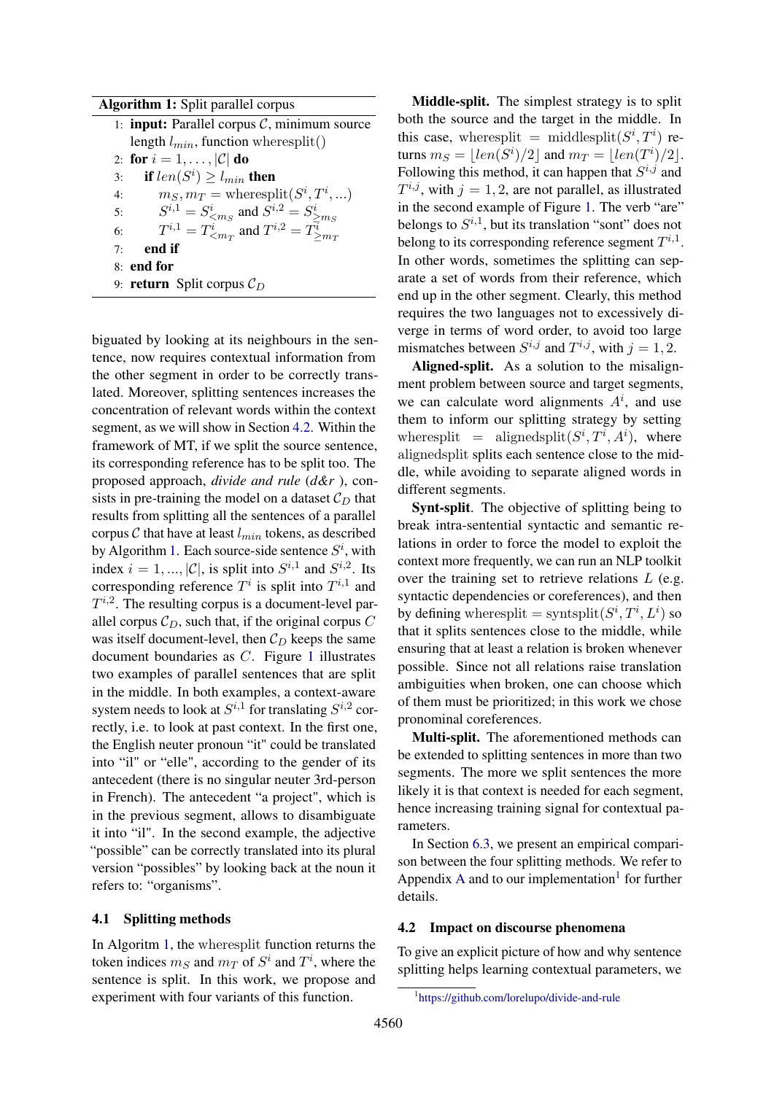| <b>Algorithm 1:</b> Split parallel corpus                                                                                    |
|------------------------------------------------------------------------------------------------------------------------------|
| 1: <b>input:</b> Parallel corpus $C$ , minimum source                                                                        |
| length $l_{min}$ , function wheresplit()                                                                                     |
| 2: for $i = 1, \ldots,  \mathcal{C} $ do                                                                                     |
| if $len(S^i) \geq l_{min}$ then<br>3:                                                                                        |
| $m_S, m_T$ = wheresplit $(S^i, T^i, \ldots)$<br>4:                                                                           |
| 5:                                                                                                                           |
| $S^{i,1} = S^i_{\leq m_S}$ and $S^{i,2} = S^i_{\geq m_S}$<br>$T^{i,1} = T^i_{\leq m_T}$ and $T^{i,2} = T^i_{\geq m_T}$<br>6: |
| end if<br>7:                                                                                                                 |
| 8: end for                                                                                                                   |
| 9: <b>return</b> Split corpus $C_D$                                                                                          |
|                                                                                                                              |

<span id="page-3-1"></span>biguated by looking at its neighbours in the sentence, now requires contextual information from the other segment in order to be correctly translated. Moreover, splitting sentences increases the concentration of relevant words within the context segment, as we will show in Section [4.2.](#page-3-0) Within the framework of MT, if we split the source sentence, its corresponding reference has to be split too. The proposed approach, *divide and rule* (*d&r* ), consists in pre-training the model on a dataset  $\mathcal{C}_D$  that results from splitting all the sentences of a parallel corpus  $C$  that have at least  $l_{min}$  tokens, as described by Algorithm [1.](#page-3-1) Each source-side sentence  $S^i$ , with index  $i = 1, ..., |\mathcal{C}|$ , is split into  $S^{i,1}$  and  $S^{i,2}$ . Its corresponding reference  $T^i$  is split into  $T^{i,1}$  and  $T^{i,2}$ . The resulting corpus is a document-level parallel corpus  $C_D$ , such that, if the original corpus C was itself document-level, then  $C_D$  keeps the same document boundaries as C. Figure [1](#page-1-0) illustrates two examples of parallel sentences that are split in the middle. In both examples, a context-aware system needs to look at  $S^{i,1}$  for translating  $S^{i,2}$  correctly, i.e. to look at past context. In the first one, the English neuter pronoun "it" could be translated into "il" or "elle", according to the gender of its antecedent (there is no singular neuter 3rd-person in French). The antecedent "a project", which is in the previous segment, allows to disambiguate it into "il". In the second example, the adjective "possible" can be correctly translated into its plural version "possibles" by looking back at the noun it refers to: "organisms".

# <span id="page-3-3"></span>4.1 Splitting methods

In Algoritm [1,](#page-3-1) the wheresplit function returns the token indices  $m_S$  and  $m_T$  of  $S^i$  and  $T^i$ , where the sentence is split. In this work, we propose and experiment with four variants of this function.

Middle-split. The simplest strategy is to split both the source and the target in the middle. In this case, where split = middlesplit( $S^i, T^i$ ) returns  $m_S = \lfloor len(S^i)/2 \rfloor$  and  $m_T = \lfloor len(T^i)/2 \rfloor$ . Following this method, it can happen that  $S^{i,j}$  and  $T^{i,j}$ , with  $j = 1, 2$ , are not parallel, as illustrated in the second example of Figure [1.](#page-1-0) The verb "are" belongs to  $S^{i,1}$ , but its translation "sont" does not belong to its corresponding reference segment  $T^{i,1}$ . In other words, sometimes the splitting can separate a set of words from their reference, which end up in the other segment. Clearly, this method requires the two languages not to excessively diverge in terms of word order, to avoid too large mismatches between  $S^{i,j}$  and  $T^{i,j}$ , with  $j = 1, 2$ .

Aligned-split. As a solution to the misalignment problem between source and target segments, we can calculate word alignments  $A^i$ , and use them to inform our splitting strategy by setting where split = aligned split $(S^i, T^i, A^i)$ , where alignedsplit splits each sentence close to the middle, while avoiding to separate aligned words in different segments.

Synt-split. The objective of splitting being to break intra-sentential syntactic and semantic relations in order to force the model to exploit the context more frequently, we can run an NLP toolkit over the training set to retrieve relations  $L$  (e.g. syntactic dependencies or coreferences), and then by defining wheresplit = syntsplit $(S^i, T^i, L^i)$  so that it splits sentences close to the middle, while ensuring that at least a relation is broken whenever possible. Since not all relations raise translation ambiguities when broken, one can choose which of them must be prioritized; in this work we chose pronominal coreferences.

Multi-split. The aforementioned methods can be extended to splitting sentences in more than two segments. The more we split sentences the more likely it is that context is needed for each segment, hence increasing training signal for contextual parameters.

In Section [6.3,](#page-6-0) we present an empirical comparison between the four splitting methods. We refer to [A](#page-12-0)ppendix A and to our implementation<sup>[1](#page-3-2)</sup> for further details.

#### <span id="page-3-0"></span>4.2 Impact on discourse phenomena

To give an explicit picture of how and why sentence splitting helps learning contextual parameters, we

<span id="page-3-2"></span><sup>1</sup> <https://github.com/lorelupo/divide-and-rule>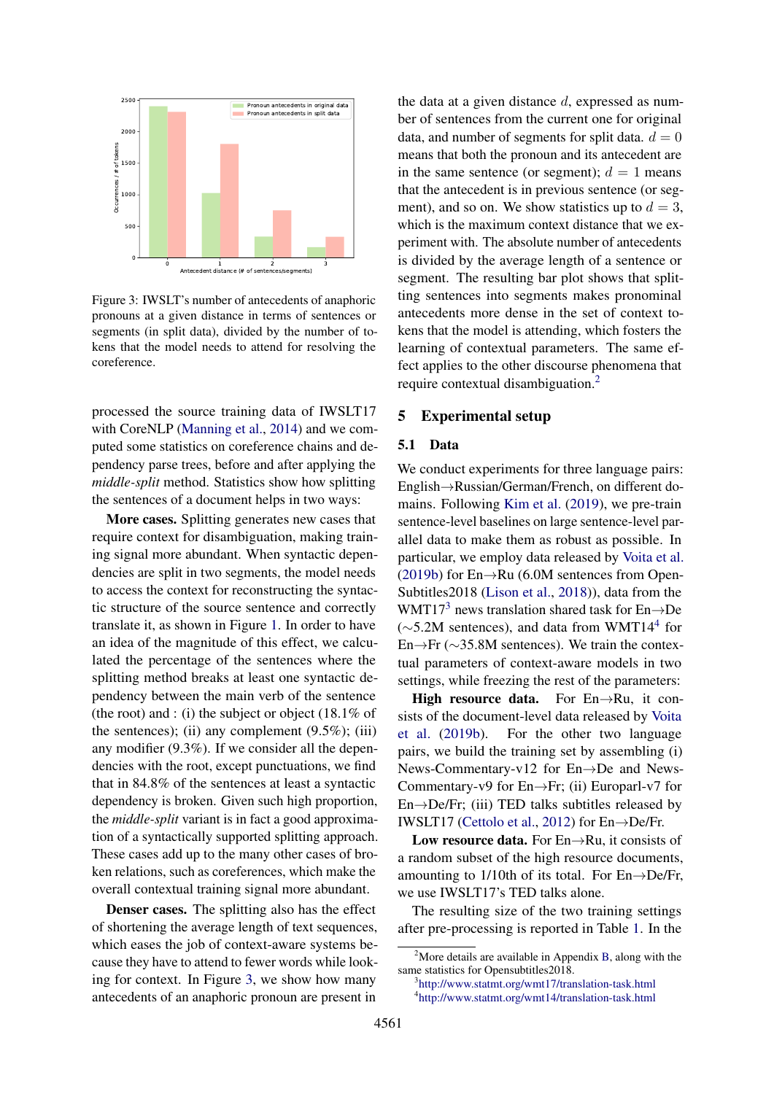<span id="page-4-0"></span>

Figure 3: IWSLT's number of antecedents of anaphoric pronouns at a given distance in terms of sentences or segments (in split data), divided by the number of tokens that the model needs to attend for resolving the coreference.

processed the source training data of IWSLT17 with CoreNLP [\(Manning et al.,](#page-10-12) [2014\)](#page-10-12) and we computed some statistics on coreference chains and dependency parse trees, before and after applying the *middle-split* method. Statistics show how splitting the sentences of a document helps in two ways:

More cases. Splitting generates new cases that require context for disambiguation, making training signal more abundant. When syntactic dependencies are split in two segments, the model needs to access the context for reconstructing the syntactic structure of the source sentence and correctly translate it, as shown in Figure [1.](#page-1-0) In order to have an idea of the magnitude of this effect, we calculated the percentage of the sentences where the splitting method breaks at least one syntactic dependency between the main verb of the sentence (the root) and : (i) the subject or object (18.1% of the sentences); (ii) any complement  $(9.5\%)$ ; (iii) any modifier (9.3%). If we consider all the dependencies with the root, except punctuations, we find that in 84.8% of the sentences at least a syntactic dependency is broken. Given such high proportion, the *middle-split* variant is in fact a good approximation of a syntactically supported splitting approach. These cases add up to the many other cases of broken relations, such as coreferences, which make the overall contextual training signal more abundant.

Denser cases. The splitting also has the effect of shortening the average length of text sequences, which eases the job of context-aware systems because they have to attend to fewer words while looking for context. In Figure [3,](#page-4-0) we show how many antecedents of an anaphoric pronoun are present in

the data at a given distance  $d$ , expressed as number of sentences from the current one for original data, and number of segments for split data,  $d = 0$ means that both the pronoun and its antecedent are in the same sentence (or segment);  $d = 1$  means that the antecedent is in previous sentence (or segment), and so on. We show statistics up to  $d = 3$ , which is the maximum context distance that we experiment with. The absolute number of antecedents is divided by the average length of a sentence or segment. The resulting bar plot shows that splitting sentences into segments makes pronominal antecedents more dense in the set of context tokens that the model is attending, which fosters the learning of contextual parameters. The same effect applies to the other discourse phenomena that require contextual disambiguation.[2](#page-4-1)

### 5 Experimental setup

#### 5.1 Data

We conduct experiments for three language pairs: English→Russian/German/French, on different domains. Following [Kim et al.](#page-9-1) [\(2019\)](#page-9-1), we pre-train sentence-level baselines on large sentence-level parallel data to make them as robust as possible. In particular, we employ data released by [Voita et al.](#page-11-11) [\(2019b\)](#page-11-11) for En→Ru (6.0M sentences from Open-Subtitles2018 [\(Lison et al.,](#page-10-13) [2018\)](#page-10-13)), data from the WMT17<sup>[3](#page-4-2)</sup> news translation shared task for  $En \rightarrow De$  $(\sim$ 5.2M sentences), and data from WMT1[4](#page-4-3)<sup>4</sup> for En→Fr (∼35.8M sentences). We train the contextual parameters of context-aware models in two settings, while freezing the rest of the parameters:

High resource data. For  $En \rightarrow Ru$ , it consists of the document-level data released by [Voita](#page-11-11) [et al.](#page-11-11) [\(2019b\)](#page-11-11). For the other two language pairs, we build the training set by assembling (i) News-Commentary-v12 for En→De and News-Commentary-v9 for En→Fr; (ii) Europarl-v7 for  $En \rightarrow De/Fr$ ; (iii) TED talks subtitles released by IWSLT17 [\(Cettolo et al.,](#page-9-9) [2012\)](#page-9-9) for En→De/Fr.

Low resource data. For  $En \rightarrow Ru$ , it consists of a random subset of the high resource documents, amounting to 1/10th of its total. For  $En \rightarrow De/Fr$ , we use IWSLT17's TED talks alone.

The resulting size of the two training settings after pre-processing is reported in Table [1.](#page-5-0) In the

<span id="page-4-2"></span>3 <http://www.statmt.org/wmt17/translation-task.html>

<span id="page-4-1"></span><sup>&</sup>lt;sup>2</sup>More details are available in Appendix [B,](#page-13-0) along with the same statistics for Opensubtitles2018.

<span id="page-4-3"></span><sup>4</sup> <http://www.statmt.org/wmt14/translation-task.html>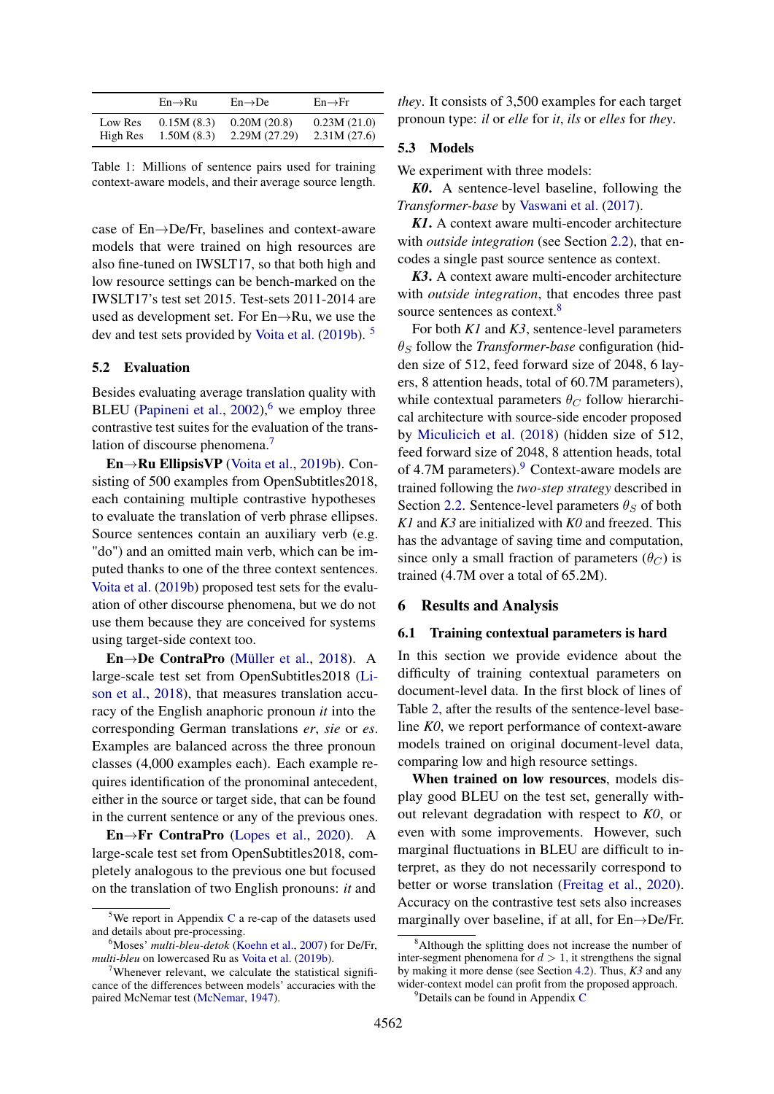<span id="page-5-0"></span>

|          | $En \rightarrow Ru$ | $En \rightarrow De$ | $En \rightarrow Fr$ |
|----------|---------------------|---------------------|---------------------|
| Low Res  | 0.15M(8.3)          | 0.20M(20.8)         | 0.23M(21.0)         |
| High Res | 1.50M(8.3)          | 2.29M(27.29)        | 2.31M(27.6)         |

Table 1: Millions of sentence pairs used for training context-aware models, and their average source length.

case of En→De/Fr, baselines and context-aware models that were trained on high resources are also fine-tuned on IWSLT17, so that both high and low resource settings can be bench-marked on the IWSLT17's test set 2015. Test-sets 2011-2014 are used as development set. For En→Ru, we use the dev and test sets provided by [Voita et al.](#page-11-11) [\(2019b\)](#page-11-11). [5](#page-5-1)

# 5.2 Evaluation

Besides evaluating average translation quality with BLEU [\(Papineni et al.,](#page-10-7)  $2002$ ), <sup>[6](#page-5-2)</sup> we employ three contrastive test suites for the evaluation of the trans-lation of discourse phenomena.<sup>[7](#page-5-3)</sup>

En→Ru EllipsisVP [\(Voita et al.,](#page-11-11) [2019b\)](#page-11-11). Consisting of 500 examples from OpenSubtitles2018, each containing multiple contrastive hypotheses to evaluate the translation of verb phrase ellipses. Source sentences contain an auxiliary verb (e.g. "do") and an omitted main verb, which can be imputed thanks to one of the three context sentences. [Voita et al.](#page-11-11) [\(2019b\)](#page-11-11) proposed test sets for the evaluation of other discourse phenomena, but we do not use them because they are conceived for systems using target-side context too.

En→De ContraPro [\(Müller et al.,](#page-10-10) [2018\)](#page-10-10). A large-scale test set from OpenSubtitles2018 [\(Li](#page-10-13)[son et al.,](#page-10-13) [2018\)](#page-10-13), that measures translation accuracy of the English anaphoric pronoun *it* into the corresponding German translations *er*, *sie* or *es*. Examples are balanced across the three pronoun classes (4,000 examples each). Each example requires identification of the pronominal antecedent, either in the source or target side, that can be found in the current sentence or any of the previous ones.

En→Fr ContraPro [\(Lopes et al.,](#page-10-4) [2020\)](#page-10-4). A large-scale test set from OpenSubtitles2018, completely analogous to the previous one but focused on the translation of two English pronouns: *it* and

*they*. It consists of 3,500 examples for each target pronoun type: *il* or *elle* for *it*, *ils* or *elles* for *they*.

### 5.3 Models

We experiment with three models:

*K0*. A sentence-level baseline, following the *Transformer-base* by [Vaswani et al.](#page-11-0) [\(2017\)](#page-11-0).

*K1*. A context aware multi-encoder architecture with *outside integration* (see Section [2.2\)](#page-1-2), that encodes a single past source sentence as context.

*K3*. A context aware multi-encoder architecture with *outside integration*, that encodes three past source sentences as context.<sup>[8](#page-5-4)</sup>

For both *K1* and *K3*, sentence-level parameters  $\theta_S$  follow the *Transformer-base* configuration (hidden size of 512, feed forward size of 2048, 6 layers, 8 attention heads, total of 60.7M parameters), while contextual parameters  $\theta_C$  follow hierarchical architecture with source-side encoder proposed by [Miculicich et al.](#page-10-2) [\(2018\)](#page-10-2) (hidden size of 512, feed forward size of 2048, 8 attention heads, total of 4.7M parameters).<sup>[9](#page-5-5)</sup> Context-aware models are trained following the *two-step strategy* described in Section [2.2.](#page-1-2) Sentence-level parameters  $\theta_S$  of both *K1* and *K3* are initialized with *K0* and freezed. This has the advantage of saving time and computation, since only a small fraction of parameters  $(\theta_C)$  is trained (4.7M over a total of 65.2M).

# 6 Results and Analysis

### 6.1 Training contextual parameters is hard

In this section we provide evidence about the difficulty of training contextual parameters on document-level data. In the first block of lines of Table [2,](#page-6-1) after the results of the sentence-level baseline *K0*, we report performance of context-aware models trained on original document-level data, comparing low and high resource settings.

When trained on low resources, models display good BLEU on the test set, generally without relevant degradation with respect to *K0*, or even with some improvements. However, such marginal fluctuations in BLEU are difficult to interpret, as they do not necessarily correspond to better or worse translation [\(Freitag et al.,](#page-9-11) [2020\)](#page-9-11). Accuracy on the contrastive test sets also increases marginally over baseline, if at all, for  $En \rightarrow De/Fr$ .

<span id="page-5-1"></span><sup>&</sup>lt;sup>5</sup>We report in Appendix [C](#page-13-1) a re-cap of the datasets used and details about pre-processing.

<span id="page-5-2"></span><sup>6</sup>Moses' *multi-bleu-detok* [\(Koehn et al.,](#page-9-10) [2007\)](#page-9-10) for De/Fr, *multi-bleu* on lowercased Ru as [Voita et al.](#page-11-11) [\(2019b\)](#page-11-11).

<span id="page-5-3"></span><sup>&</sup>lt;sup>7</sup>Whenever relevant, we calculate the statistical significance of the differences between models' accuracies with the paired McNemar test [\(McNemar,](#page-10-14) [1947\)](#page-10-14).

<span id="page-5-4"></span><sup>&</sup>lt;sup>8</sup>Although the splitting does not increase the number of inter-segment phenomena for  $d > 1$ , it strengthens the signal by making it more dense (see Section [4.2\)](#page-3-0). Thus, *K3* and any wider-context model can profit from the proposed approach.

<span id="page-5-5"></span> $\rm^9$ Details can be found in Appendix [C](#page-13-1)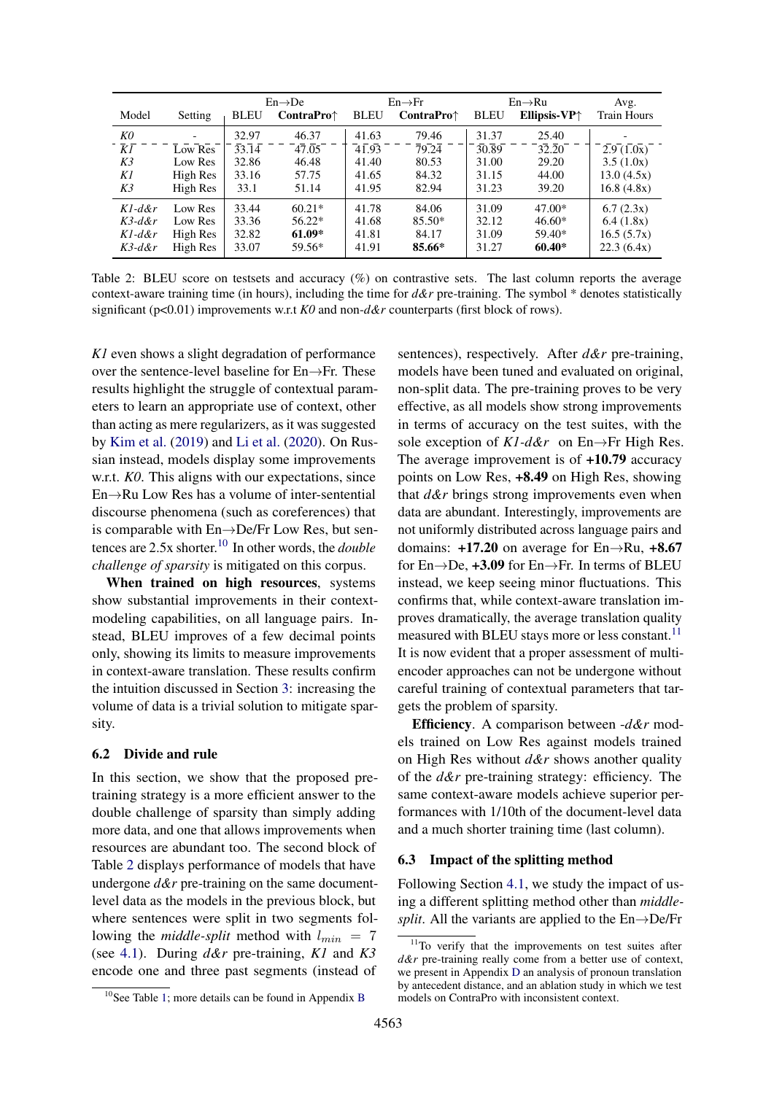<span id="page-6-1"></span>

|           |          |                    | $En \rightarrow De$         |                    | $En \rightarrow Fr$  |             | $En \rightarrow Ru$    | Avg.               |
|-----------|----------|--------------------|-----------------------------|--------------------|----------------------|-------------|------------------------|--------------------|
| Model     | Setting  | <b>BLEU</b>        | <b>ContraPro</b> $\uparrow$ | <b>BLEU</b>        | ContraPro $\uparrow$ | <b>BLEU</b> | Ellipsis-VP $\uparrow$ | <b>Train Hours</b> |
| K0        |          | 32.97              | 46.37                       | 41.63              | 79.46                | 31.37       | 25.40                  |                    |
| ΚĪ        | Low Res  | $\overline{33.14}$ | 47.05                       | $4\overline{1.93}$ | $\overline{79.24}$   | 30.89       | 32.20                  | 2.9(1.0x)          |
| K3        | Low Res  | 32.86              | 46.48                       | 41.40              | 80.53                | 31.00       | 29.20                  | 3.5(1.0x)          |
| K1        | High Res | 33.16              | 57.75                       | 41.65              | 84.32                | 31.15       | 44.00                  | 13.0(4.5x)         |
| K3        | High Res | 33.1               | 51.14                       | 41.95              | 82.94                | 31.23       | 39.20                  | 16.8(4.8x)         |
| $Kl$ -d&r | Low Res  | 33.44              | $60.21*$                    | 41.78              | 84.06                | 31.09       | $47.00*$               | 6.7(2.3x)          |
| $K3$ -d&r | Low Res  | 33.36              | $56.22*$                    | 41.68              | 85.50*               | 32.12       | $46.60*$               | 6.4(1.8x)          |
| $Kl$ -d&r | High Res | 32.82              | $61.09*$                    | 41.81              | 84.17                | 31.09       | 59.40*                 | 16.5(5.7x)         |
| $K3$ -d&r | High Res | 33.07              | 59.56*                      | 41.91              | 85.66*               | 31.27       | $60.40*$               | 22.3(6.4x)         |

Table 2: BLEU score on testsets and accuracy (%) on contrastive sets. The last column reports the average context-aware training time (in hours), including the time for *d&r* pre-training. The symbol \* denotes statistically significant (p<0.01) improvements w.r.t *K0* and non-*d&r* counterparts (first block of rows).

*K1* even shows a slight degradation of performance over the sentence-level baseline for En→Fr. These results highlight the struggle of contextual parameters to learn an appropriate use of context, other than acting as mere regularizers, as it was suggested by [Kim et al.](#page-9-1) [\(2019\)](#page-9-1) and [Li et al.](#page-10-0) [\(2020\)](#page-10-0). On Russian instead, models display some improvements w.r.t. *K0*. This aligns with our expectations, since En→Ru Low Res has a volume of inter-sentential discourse phenomena (such as coreferences) that is comparable with En→De/Fr Low Res, but sentences are 2.5x shorter.[10](#page-6-2) In other words, the *double challenge of sparsity* is mitigated on this corpus.

When trained on high resources, systems show substantial improvements in their contextmodeling capabilities, on all language pairs. Instead, BLEU improves of a few decimal points only, showing its limits to measure improvements in context-aware translation. These results confirm the intuition discussed in Section [3:](#page-2-0) increasing the volume of data is a trivial solution to mitigate sparsity.

#### 6.2 Divide and rule

In this section, we show that the proposed pretraining strategy is a more efficient answer to the double challenge of sparsity than simply adding more data, and one that allows improvements when resources are abundant too. The second block of Table [2](#page-6-1) displays performance of models that have undergone  $d\&r$  pre-training on the same documentlevel data as the models in the previous block, but where sentences were split in two segments following the *middle-split* method with  $l_{min} = 7$ (see [4.1\)](#page-3-3). During *d&r* pre-training, *K1* and *K3* encode one and three past segments (instead of

sentences), respectively. After *d&r* pre-training, models have been tuned and evaluated on original, non-split data. The pre-training proves to be very effective, as all models show strong improvements in terms of accuracy on the test suites, with the sole exception of *K1-d&r* on En→Fr High Res. The average improvement is of +10.79 accuracy points on Low Res, +8.49 on High Res, showing that *d&r* brings strong improvements even when data are abundant. Interestingly, improvements are not uniformly distributed across language pairs and domains:  $+17.20$  on average for En $\rightarrow$ Ru,  $+8.67$ for  $En \rightarrow De$ , +3.09 for  $En \rightarrow Fr$ . In terms of BLEU instead, we keep seeing minor fluctuations. This confirms that, while context-aware translation improves dramatically, the average translation quality measured with BLEU stays more or less constant.<sup>[11](#page-6-3)</sup> It is now evident that a proper assessment of multiencoder approaches can not be undergone without careful training of contextual parameters that targets the problem of sparsity.

Efficiency. A comparison between -*d&r* models trained on Low Res against models trained on High Res without *d&r* shows another quality of the *d&r* pre-training strategy: efficiency. The same context-aware models achieve superior performances with 1/10th of the document-level data and a much shorter training time (last column).

#### <span id="page-6-0"></span>6.3 Impact of the splitting method

Following Section [4.1,](#page-3-3) we study the impact of using a different splitting method other than *middlesplit*. All the variants are applied to the  $En \rightarrow De/Fr$ 

<span id="page-6-2"></span><sup>&</sup>lt;sup>10</sup>See Table [1;](#page-5-0) more details can be found in Appendix [B](#page-13-0)

<span id="page-6-3"></span> $11$ To verify that the improvements on test suites after *d&r* pre-training really come from a better use of context, we present in Appendix [D](#page-14-0) an analysis of pronoun translation by antecedent distance, and an ablation study in which we test models on ContraPro with inconsistent context.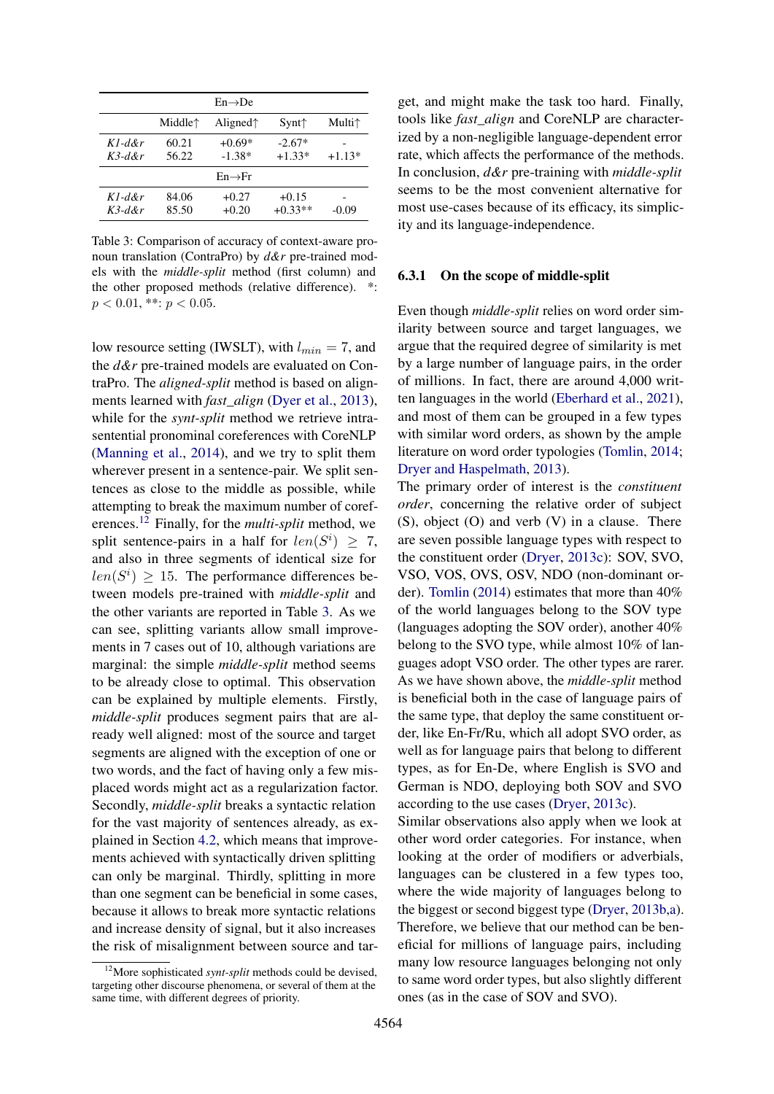<span id="page-7-1"></span>

| $En \rightarrow De$    |                                         |                      |                      |                  |
|------------------------|-----------------------------------------|----------------------|----------------------|------------------|
|                        | Middle <sup><math>\uparrow</math></sup> | Aligned $\uparrow$   | $Synt\uparrow$       | Multi $\uparrow$ |
| $Kl$ -d&r<br>$K$ 3-d&r | 60.21<br>56.22                          | $+0.69*$<br>$-1.38*$ | $-2.67*$<br>$+1.33*$ | $+1.13*$         |
|                        |                                         | $En \rightarrow Fr$  |                      |                  |
| $Kl$ -d&r<br>$K$ 3-d&r | 84.06<br>85.50                          | $+0.27$<br>$+0.20$   | $+0.15$<br>$+0.33**$ | $-0.09$          |

Table 3: Comparison of accuracy of context-aware pronoun translation (ContraPro) by *d&r* pre-trained models with the *middle-split* method (first column) and the other proposed methods (relative difference). \*:  $p < 0.01$ , \*\*:  $p < 0.05$ .

low resource setting (IWSLT), with  $l_{min} = 7$ , and the *d&r* pre-trained models are evaluated on ContraPro. The *aligned-split* method is based on alignments learned with *fast\_align* [\(Dyer et al.,](#page-9-12) [2013\)](#page-9-12), while for the *synt-split* method we retrieve intrasentential pronominal coreferences with CoreNLP [\(Manning et al.,](#page-10-12) [2014\)](#page-10-12), and we try to split them wherever present in a sentence-pair. We split sentences as close to the middle as possible, while attempting to break the maximum number of coreferences.[12](#page-7-0) Finally, for the *multi-split* method, we split sentence-pairs in a half for  $len(S^i) \geq 7$ , and also in three segments of identical size for  $len(S<sup>i</sup>) \ge 15$ . The performance differences between models pre-trained with *middle-split* and the other variants are reported in Table [3.](#page-7-1) As we can see, splitting variants allow small improvements in 7 cases out of 10, although variations are marginal: the simple *middle-split* method seems to be already close to optimal. This observation can be explained by multiple elements. Firstly, *middle-split* produces segment pairs that are already well aligned: most of the source and target segments are aligned with the exception of one or two words, and the fact of having only a few misplaced words might act as a regularization factor. Secondly, *middle-split* breaks a syntactic relation for the vast majority of sentences already, as explained in Section [4.2,](#page-3-0) which means that improvements achieved with syntactically driven splitting can only be marginal. Thirdly, splitting in more than one segment can be beneficial in some cases, because it allows to break more syntactic relations and increase density of signal, but it also increases the risk of misalignment between source and target, and might make the task too hard. Finally, tools like *fast\_align* and CoreNLP are characterized by a non-negligible language-dependent error rate, which affects the performance of the methods. In conclusion, *d&r* pre-training with *middle-split* seems to be the most convenient alternative for most use-cases because of its efficacy, its simplicity and its language-independence.

### 6.3.1 On the scope of middle-split

Even though *middle-split* relies on word order similarity between source and target languages, we argue that the required degree of similarity is met by a large number of language pairs, in the order of millions. In fact, there are around 4,000 written languages in the world [\(Eberhard et al.,](#page-9-13) [2021\)](#page-9-13), and most of them can be grouped in a few types with similar word orders, as shown by the ample literature on word order typologies [\(Tomlin,](#page-11-15) [2014;](#page-11-15) [Dryer and Haspelmath,](#page-9-14) [2013\)](#page-9-14).

The primary order of interest is the *constituent order*, concerning the relative order of subject (S), object (O) and verb (V) in a clause. There are seven possible language types with respect to the constituent order [\(Dryer,](#page-9-15) [2013c\)](#page-9-15): SOV, SVO, VSO, VOS, OVS, OSV, NDO (non-dominant order). [Tomlin](#page-11-15) [\(2014\)](#page-11-15) estimates that more than 40% of the world languages belong to the SOV type (languages adopting the SOV order), another 40% belong to the SVO type, while almost 10% of languages adopt VSO order. The other types are rarer. As we have shown above, the *middle-split* method is beneficial both in the case of language pairs of the same type, that deploy the same constituent order, like En-Fr/Ru, which all adopt SVO order, as well as for language pairs that belong to different types, as for En-De, where English is SVO and German is NDO, deploying both SOV and SVO according to the use cases [\(Dryer,](#page-9-15) [2013c\)](#page-9-15).

Similar observations also apply when we look at other word order categories. For instance, when looking at the order of modifiers or adverbials, languages can be clustered in a few types too, where the wide majority of languages belong to the biggest or second biggest type [\(Dryer,](#page-9-16) [2013b](#page-9-16)[,a\)](#page-9-17). Therefore, we believe that our method can be beneficial for millions of language pairs, including many low resource languages belonging not only to same word order types, but also slightly different ones (as in the case of SOV and SVO).

<span id="page-7-0"></span><sup>12</sup>More sophisticated *synt-split* methods could be devised, targeting other discourse phenomena, or several of them at the same time, with different degrees of priority.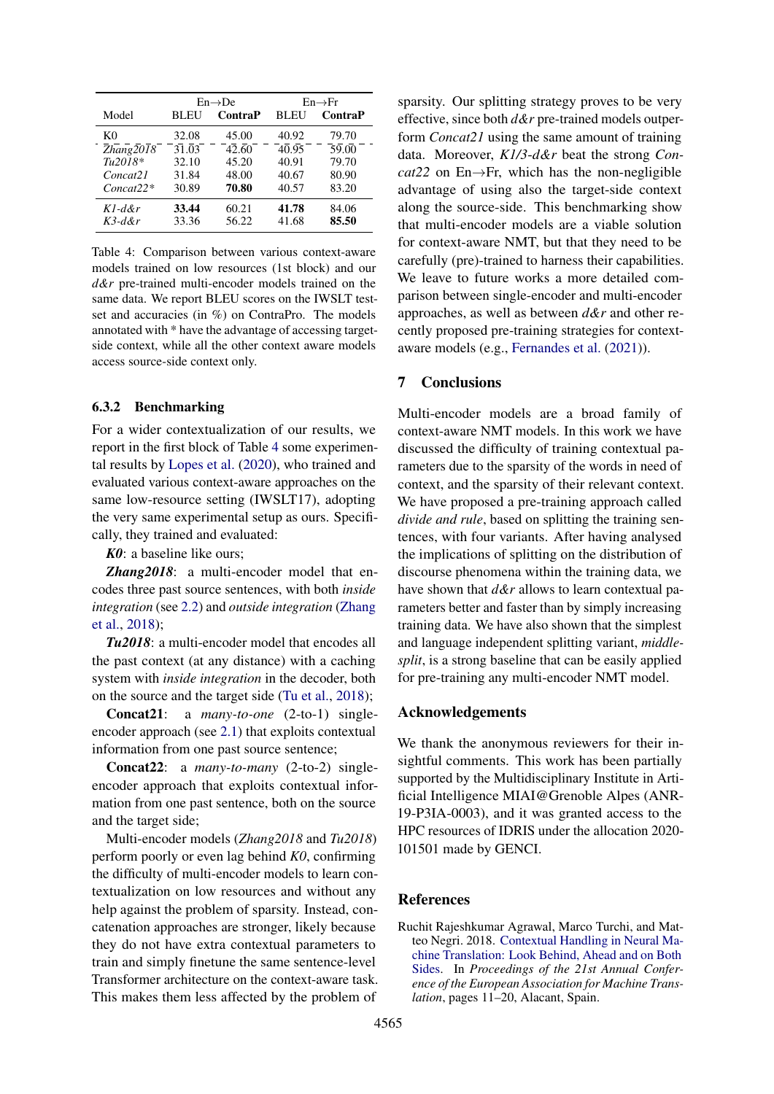<span id="page-8-1"></span>

|                                                                    |                    | $En \rightarrow De$ | $En \rightarrow Fr$ |                    |  |
|--------------------------------------------------------------------|--------------------|---------------------|---------------------|--------------------|--|
| Model                                                              | BL EU              | ContraP             | <b>BLEU</b>         | <b>ContraP</b>     |  |
| K0                                                                 | 32.08              | 45.00               | 40.92               | 79.70              |  |
| $\overline{Z}h\overline{a}n\overline{g}\overline{2}0\overline{I}8$ | $31.\overline{0}3$ | 42.60               | 40.95               | $\overline{59.00}$ |  |
| $Tu2018*$                                                          | 32.10              | 45.20               | 40.91               | 79.70              |  |
| Concat21                                                           | 31.84              | 48.00               | 40.67               | 80.90              |  |
| $Concat22*$                                                        | 30.89              | 70.80               | 40.57               | 83.20              |  |
| $Kl$ -d&r                                                          | 33.44              | 60.21               | 41.78               | 84.06              |  |
| $K$ 3-d&r                                                          | 33.36              | 56.22               | 41.68               | 85.50              |  |

Table 4: Comparison between various context-aware models trained on low resources (1st block) and our *d&r* pre-trained multi-encoder models trained on the same data. We report BLEU scores on the IWSLT testset and accuracies (in %) on ContraPro. The models annotated with \* have the advantage of accessing targetside context, while all the other context aware models access source-side context only.

### 6.3.2 Benchmarking

For a wider contextualization of our results, we report in the first block of Table [4](#page-8-1) some experimental results by [Lopes et al.](#page-10-4) [\(2020\)](#page-10-4), who trained and evaluated various context-aware approaches on the same low-resource setting (IWSLT17), adopting the very same experimental setup as ours. Specifically, they trained and evaluated:

*K0*: a baseline like ours;

*Zhang2018*: a multi-encoder model that encodes three past source sentences, with both *inside integration* (see [2.2\)](#page-1-2) and *outside integration* [\(Zhang](#page-11-9) [et al.,](#page-11-9) [2018\)](#page-11-9);

*Tu2018*: a multi-encoder model that encodes all the past context (at any distance) with a caching system with *inside integration* in the decoder, both on the source and the target side [\(Tu et al.,](#page-11-10) [2018\)](#page-11-10);

Concat21: a *many-to-one* (2-to-1) singleencoder approach (see [2.1\)](#page-1-3) that exploits contextual information from one past source sentence;

Concat22: a *many-to-many* (2-to-2) singleencoder approach that exploits contextual information from one past sentence, both on the source and the target side;

Multi-encoder models (*Zhang2018* and *Tu2018*) perform poorly or even lag behind *K0*, confirming the difficulty of multi-encoder models to learn contextualization on low resources and without any help against the problem of sparsity. Instead, concatenation approaches are stronger, likely because they do not have extra contextual parameters to train and simply finetune the same sentence-level Transformer architecture on the context-aware task. This makes them less affected by the problem of

sparsity. Our splitting strategy proves to be very effective, since both *d&r* pre-trained models outperform *Concat21* using the same amount of training data. Moreover, *K1/3*-*d&r* beat the strong *Concat*22 on En $\rightarrow$ Fr, which has the non-negligible advantage of using also the target-side context along the source-side. This benchmarking show that multi-encoder models are a viable solution for context-aware NMT, but that they need to be carefully (pre)-trained to harness their capabilities. We leave to future works a more detailed comparison between single-encoder and multi-encoder approaches, as well as between *d&r* and other recently proposed pre-training strategies for contextaware models (e.g., [Fernandes et al.](#page-9-18) [\(2021\)](#page-9-18)).

### 7 Conclusions

Multi-encoder models are a broad family of context-aware NMT models. In this work we have discussed the difficulty of training contextual parameters due to the sparsity of the words in need of context, and the sparsity of their relevant context. We have proposed a pre-training approach called *divide and rule*, based on splitting the training sentences, with four variants. After having analysed the implications of splitting on the distribution of discourse phenomena within the training data, we have shown that *d&r* allows to learn contextual parameters better and faster than by simply increasing training data. We have also shown that the simplest and language independent splitting variant, *middlesplit*, is a strong baseline that can be easily applied for pre-training any multi-encoder NMT model.

# Acknowledgements

We thank the anonymous reviewers for their insightful comments. This work has been partially supported by the Multidisciplinary Institute in Artificial Intelligence MIAI@Grenoble Alpes (ANR-19-P3IA-0003), and it was granted access to the HPC resources of IDRIS under the allocation 2020- 101501 made by GENCI.

### References

<span id="page-8-0"></span>Ruchit Rajeshkumar Agrawal, Marco Turchi, and Matteo Negri. 2018. [Contextual Handling in Neural Ma](https://cris.fbk.eu/handle/11582/314425#.XlZ3xeF7mkA)[chine Translation: Look Behind, Ahead and on Both](https://cris.fbk.eu/handle/11582/314425#.XlZ3xeF7mkA) [Sides.](https://cris.fbk.eu/handle/11582/314425#.XlZ3xeF7mkA) In *Proceedings of the 21st Annual Conference of the European Association for Machine Translation*, pages 11–20, Alacant, Spain.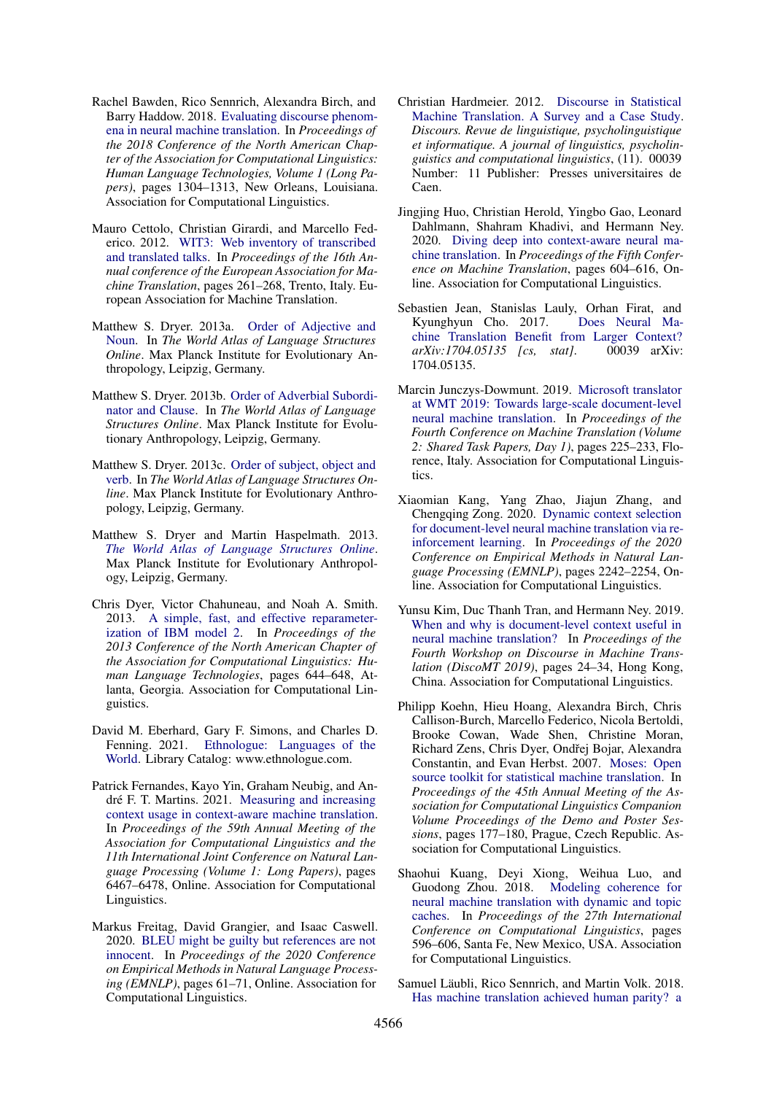- <span id="page-9-3"></span>Rachel Bawden, Rico Sennrich, Alexandra Birch, and Barry Haddow. 2018. [Evaluating discourse phenom](https://doi.org/10.18653/v1/N18-1118)[ena in neural machine translation.](https://doi.org/10.18653/v1/N18-1118) In *Proceedings of the 2018 Conference of the North American Chapter of the Association for Computational Linguistics: Human Language Technologies, Volume 1 (Long Papers)*, pages 1304–1313, New Orleans, Louisiana. Association for Computational Linguistics.
- <span id="page-9-9"></span>Mauro Cettolo, Christian Girardi, and Marcello Federico. 2012. [WIT3: Web inventory of transcribed](https://www.aclweb.org/anthology/2012.eamt-1.60) [and translated talks.](https://www.aclweb.org/anthology/2012.eamt-1.60) In *Proceedings of the 16th Annual conference of the European Association for Machine Translation*, pages 261–268, Trento, Italy. European Association for Machine Translation.
- <span id="page-9-17"></span>Matthew S. Dryer. 2013a. [Order of Adjective and](https://ci.nii.ac.jp/naid/10030056551/) [Noun.](https://ci.nii.ac.jp/naid/10030056551/) In *The World Atlas of Language Structures Online*. Max Planck Institute for Evolutionary Anthropology, Leipzig, Germany.
- <span id="page-9-16"></span>Matthew S. Dryer. 2013b. [Order of Adverbial Subordi](https://ci.nii.ac.jp/naid/10030056551/)[nator and Clause.](https://ci.nii.ac.jp/naid/10030056551/) In *The World Atlas of Language Structures Online*. Max Planck Institute for Evolutionary Anthropology, Leipzig, Germany.
- <span id="page-9-15"></span>Matthew S. Dryer. 2013c. [Order of subject, object and](https://ci.nii.ac.jp/naid/10030056551/) [verb.](https://ci.nii.ac.jp/naid/10030056551/) In *The World Atlas of Language Structures Online*. Max Planck Institute for Evolutionary Anthropology, Leipzig, Germany.
- <span id="page-9-14"></span>Matthew S. Dryer and Martin Haspelmath. 2013. *[The World Atlas of Language Structures Online](http://wals.info/)*. Max Planck Institute for Evolutionary Anthropology, Leipzig, Germany.
- <span id="page-9-12"></span>Chris Dyer, Victor Chahuneau, and Noah A. Smith. 2013. [A simple, fast, and effective reparameter](https://www.aclweb.org/anthology/N13-1073)[ization of IBM model 2.](https://www.aclweb.org/anthology/N13-1073) In *Proceedings of the 2013 Conference of the North American Chapter of the Association for Computational Linguistics: Human Language Technologies*, pages 644–648, Atlanta, Georgia. Association for Computational Linguistics.
- <span id="page-9-13"></span>David M. Eberhard, Gary F. Simons, and Charles D. Fenning. 2021. [Ethnologue: Languages of the](https://www.ethnologue.com/) [World.](https://www.ethnologue.com/) Library Catalog: www.ethnologue.com.
- <span id="page-9-18"></span>Patrick Fernandes, Kayo Yin, Graham Neubig, and André F. T. Martins. 2021. [Measuring and increasing](https://doi.org/10.18653/v1/2021.acl-long.505) [context usage in context-aware machine translation.](https://doi.org/10.18653/v1/2021.acl-long.505) In *Proceedings of the 59th Annual Meeting of the Association for Computational Linguistics and the 11th International Joint Conference on Natural Language Processing (Volume 1: Long Papers)*, pages 6467–6478, Online. Association for Computational Linguistics.
- <span id="page-9-11"></span>Markus Freitag, David Grangier, and Isaac Caswell. 2020. [BLEU might be guilty but references are not](https://doi.org/10.18653/v1/2020.emnlp-main.5) [innocent.](https://doi.org/10.18653/v1/2020.emnlp-main.5) In *Proceedings of the 2020 Conference on Empirical Methods in Natural Language Processing (EMNLP)*, pages 61–71, Online. Association for Computational Linguistics.
- <span id="page-9-7"></span>Christian Hardmeier. 2012. [Discourse in Statistical](https://doi.org/10.4000/discours.8726) [Machine Translation. A Survey and a Case Study.](https://doi.org/10.4000/discours.8726) *Discours. Revue de linguistique, psycholinguistique et informatique. A journal of linguistics, psycholinguistics and computational linguistics*, (11). 00039 Number: 11 Publisher: Presses universitaires de Caen.
- <span id="page-9-4"></span>Jingjing Huo, Christian Herold, Yingbo Gao, Leonard Dahlmann, Shahram Khadivi, and Hermann Ney. 2020. [Diving deep into context-aware neural ma](https://www.aclweb.org/anthology/2020.wmt-1.71)[chine translation.](https://www.aclweb.org/anthology/2020.wmt-1.71) In *Proceedings of the Fifth Conference on Machine Translation*, pages 604–616, Online. Association for Computational Linguistics.
- <span id="page-9-2"></span>Sebastien Jean, Stanislas Lauly, Orhan Firat, and Kyunghyun Cho. 2017. [Does Neural Ma](http://arxiv.org/abs/1704.05135)[chine Translation Benefit from Larger Context?](http://arxiv.org/abs/1704.05135)<br>
arXiv:1704.05135 [cs. stat]. 00039 arXiv: *arXiv:1704.05135* [cs, stat]. 1704.05135.
- <span id="page-9-5"></span>Marcin Junczys-Dowmunt. 2019. [Microsoft translator](https://doi.org/10.18653/v1/W19-5321) [at WMT 2019: Towards large-scale document-level](https://doi.org/10.18653/v1/W19-5321) [neural machine translation.](https://doi.org/10.18653/v1/W19-5321) In *Proceedings of the Fourth Conference on Machine Translation (Volume 2: Shared Task Papers, Day 1)*, pages 225–233, Florence, Italy. Association for Computational Linguistics.
- <span id="page-9-8"></span>Xiaomian Kang, Yang Zhao, Jiajun Zhang, and Chengqing Zong. 2020. [Dynamic context selection](https://doi.org/10.18653/v1/2020.emnlp-main.175) [for document-level neural machine translation via re](https://doi.org/10.18653/v1/2020.emnlp-main.175)[inforcement learning.](https://doi.org/10.18653/v1/2020.emnlp-main.175) In *Proceedings of the 2020 Conference on Empirical Methods in Natural Language Processing (EMNLP)*, pages 2242–2254, Online. Association for Computational Linguistics.
- <span id="page-9-1"></span>Yunsu Kim, Duc Thanh Tran, and Hermann Ney. 2019. [When and why is document-level context useful in](https://doi.org/10.18653/v1/D19-6503) [neural machine translation?](https://doi.org/10.18653/v1/D19-6503) In *Proceedings of the Fourth Workshop on Discourse in Machine Translation (DiscoMT 2019)*, pages 24–34, Hong Kong, China. Association for Computational Linguistics.
- <span id="page-9-10"></span>Philipp Koehn, Hieu Hoang, Alexandra Birch, Chris Callison-Burch, Marcello Federico, Nicola Bertoldi, Brooke Cowan, Wade Shen, Christine Moran, Richard Zens, Chris Dyer, Ondřej Bojar, Alexandra Constantin, and Evan Herbst. 2007. [Moses: Open](https://www.aclweb.org/anthology/P07-2045) [source toolkit for statistical machine translation.](https://www.aclweb.org/anthology/P07-2045) In *Proceedings of the 45th Annual Meeting of the Association for Computational Linguistics Companion Volume Proceedings of the Demo and Poster Sessions*, pages 177–180, Prague, Czech Republic. Association for Computational Linguistics.
- <span id="page-9-6"></span>Shaohui Kuang, Deyi Xiong, Weihua Luo, and Guodong Zhou. 2018. [Modeling coherence for](https://www.aclweb.org/anthology/C18-1050) [neural machine translation with dynamic and topic](https://www.aclweb.org/anthology/C18-1050) [caches.](https://www.aclweb.org/anthology/C18-1050) In *Proceedings of the 27th International Conference on Computational Linguistics*, pages 596–606, Santa Fe, New Mexico, USA. Association for Computational Linguistics.
- <span id="page-9-0"></span>Samuel Läubli, Rico Sennrich, and Martin Volk. 2018. [Has machine translation achieved human parity? a](https://doi.org/10.18653/v1/D18-1512)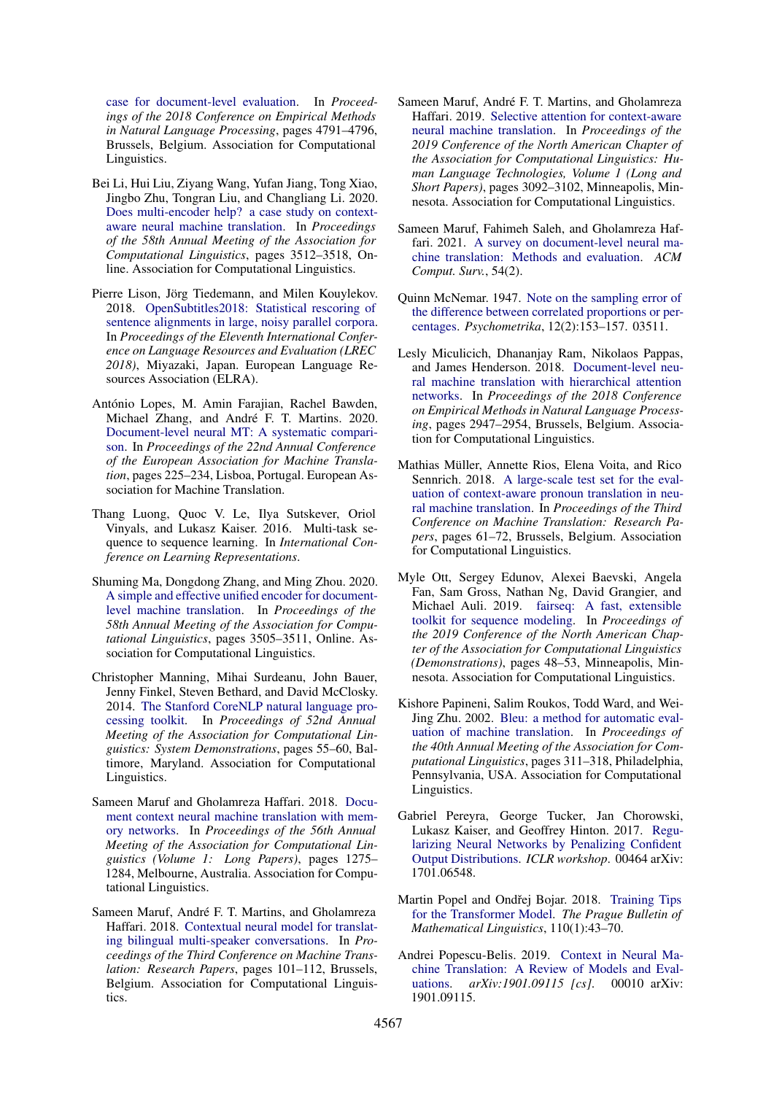[case for document-level evaluation.](https://doi.org/10.18653/v1/D18-1512) In *Proceedings of the 2018 Conference on Empirical Methods in Natural Language Processing*, pages 4791–4796, Brussels, Belgium. Association for Computational Linguistics.

- <span id="page-10-0"></span>Bei Li, Hui Liu, Ziyang Wang, Yufan Jiang, Tong Xiao, Jingbo Zhu, Tongran Liu, and Changliang Li. 2020. [Does multi-encoder help? a case study on context](https://doi.org/10.18653/v1/2020.acl-main.322)[aware neural machine translation.](https://doi.org/10.18653/v1/2020.acl-main.322) In *Proceedings of the 58th Annual Meeting of the Association for Computational Linguistics*, pages 3512–3518, Online. Association for Computational Linguistics.
- <span id="page-10-13"></span>Pierre Lison, Jörg Tiedemann, and Milen Kouylekov. 2018. [OpenSubtitles2018: Statistical rescoring of](https://www.aclweb.org/anthology/L18-1275) [sentence alignments in large, noisy parallel corpora.](https://www.aclweb.org/anthology/L18-1275) In *Proceedings of the Eleventh International Conference on Language Resources and Evaluation (LREC 2018)*, Miyazaki, Japan. European Language Resources Association (ELRA).
- <span id="page-10-4"></span>António Lopes, M. Amin Farajian, Rachel Bawden, Michael Zhang, and André F. T. Martins. 2020. [Document-level neural MT: A systematic compari](https://www.aclweb.org/anthology/2020.eamt-1.24)[son.](https://www.aclweb.org/anthology/2020.eamt-1.24) In *Proceedings of the 22nd Annual Conference of the European Association for Machine Translation*, pages 225–234, Lisboa, Portugal. European Association for Machine Translation.
- <span id="page-10-11"></span>Thang Luong, Quoc V. Le, Ilya Sutskever, Oriol Vinyals, and Lukasz Kaiser. 2016. Multi-task sequence to sequence learning. In *International Conference on Learning Representations*.
- <span id="page-10-1"></span>Shuming Ma, Dongdong Zhang, and Ming Zhou. 2020. [A simple and effective unified encoder for document](https://doi.org/10.18653/v1/2020.acl-main.321)[level machine translation.](https://doi.org/10.18653/v1/2020.acl-main.321) In *Proceedings of the 58th Annual Meeting of the Association for Computational Linguistics*, pages 3505–3511, Online. Association for Computational Linguistics.
- <span id="page-10-12"></span>Christopher Manning, Mihai Surdeanu, John Bauer, Jenny Finkel, Steven Bethard, and David McClosky. 2014. [The Stanford CoreNLP natural language pro](https://doi.org/10.3115/v1/P14-5010)[cessing toolkit.](https://doi.org/10.3115/v1/P14-5010) In *Proceedings of 52nd Annual Meeting of the Association for Computational Linguistics: System Demonstrations*, pages 55–60, Baltimore, Maryland. Association for Computational Linguistics.
- <span id="page-10-6"></span>Sameen Maruf and Gholamreza Haffari. 2018. [Docu](https://doi.org/10.18653/v1/P18-1118)[ment context neural machine translation with mem](https://doi.org/10.18653/v1/P18-1118)[ory networks.](https://doi.org/10.18653/v1/P18-1118) In *Proceedings of the 56th Annual Meeting of the Association for Computational Linguistics (Volume 1: Long Papers)*, pages 1275– 1284, Melbourne, Australia. Association for Computational Linguistics.
- <span id="page-10-5"></span>Sameen Maruf, André F. T. Martins, and Gholamreza Haffari. 2018. [Contextual neural model for translat](https://doi.org/10.18653/v1/W18-6311)[ing bilingual multi-speaker conversations.](https://doi.org/10.18653/v1/W18-6311) In *Proceedings of the Third Conference on Machine Translation: Research Papers*, pages 101–112, Brussels, Belgium. Association for Computational Linguistics.
- <span id="page-10-3"></span>Sameen Maruf, André F. T. Martins, and Gholamreza Haffari. 2019. [Selective attention for context-aware](https://doi.org/10.18653/v1/N19-1313) [neural machine translation.](https://doi.org/10.18653/v1/N19-1313) In *Proceedings of the 2019 Conference of the North American Chapter of the Association for Computational Linguistics: Human Language Technologies, Volume 1 (Long and Short Papers)*, pages 3092–3102, Minneapolis, Minnesota. Association for Computational Linguistics.
- <span id="page-10-9"></span>Sameen Maruf, Fahimeh Saleh, and Gholamreza Haffari. 2021. [A survey on document-level neural ma](https://doi.org/10.1145/3441691)[chine translation: Methods and evaluation.](https://doi.org/10.1145/3441691) *ACM Comput. Surv.*, 54(2).
- <span id="page-10-14"></span>Quinn McNemar. 1947. [Note on the sampling error of](https://doi.org/10.1007/BF02295996) [the difference between correlated proportions or per](https://doi.org/10.1007/BF02295996)[centages.](https://doi.org/10.1007/BF02295996) *Psychometrika*, 12(2):153–157. 03511.
- <span id="page-10-2"></span>Lesly Miculicich, Dhananjay Ram, Nikolaos Pappas, and James Henderson. 2018. [Document-level neu](https://doi.org/10.18653/v1/D18-1325)[ral machine translation with hierarchical attention](https://doi.org/10.18653/v1/D18-1325) [networks.](https://doi.org/10.18653/v1/D18-1325) In *Proceedings of the 2018 Conference on Empirical Methods in Natural Language Processing*, pages 2947–2954, Brussels, Belgium. Association for Computational Linguistics.
- <span id="page-10-10"></span>Mathias Müller, Annette Rios, Elena Voita, and Rico Sennrich. 2018. [A large-scale test set for the eval](https://doi.org/10.18653/v1/W18-6307)[uation of context-aware pronoun translation in neu](https://doi.org/10.18653/v1/W18-6307)[ral machine translation.](https://doi.org/10.18653/v1/W18-6307) In *Proceedings of the Third Conference on Machine Translation: Research Papers*, pages 61–72, Brussels, Belgium. Association for Computational Linguistics.
- <span id="page-10-15"></span>Myle Ott, Sergey Edunov, Alexei Baevski, Angela Fan, Sam Gross, Nathan Ng, David Grangier, and Michael Auli. 2019. [fairseq: A fast, extensible](https://doi.org/10.18653/v1/N19-4009) [toolkit for sequence modeling.](https://doi.org/10.18653/v1/N19-4009) In *Proceedings of the 2019 Conference of the North American Chapter of the Association for Computational Linguistics (Demonstrations)*, pages 48–53, Minneapolis, Minnesota. Association for Computational Linguistics.
- <span id="page-10-7"></span>Kishore Papineni, Salim Roukos, Todd Ward, and Wei-Jing Zhu. 2002. [Bleu: a method for automatic eval](https://doi.org/10.3115/1073083.1073135)[uation of machine translation.](https://doi.org/10.3115/1073083.1073135) In *Proceedings of the 40th Annual Meeting of the Association for Computational Linguistics*, pages 311–318, Philadelphia, Pennsylvania, USA. Association for Computational Linguistics.
- <span id="page-10-17"></span>Gabriel Pereyra, George Tucker, Jan Chorowski, Lukasz Kaiser, and Geoffrey Hinton. 2017. [Regu](http://arxiv.org/abs/1701.06548)[larizing Neural Networks by Penalizing Confident](http://arxiv.org/abs/1701.06548) [Output Distributions.](http://arxiv.org/abs/1701.06548) *ICLR workshop*. 00464 arXiv: 1701.06548.
- <span id="page-10-16"></span>Martin Popel and Ondřej Bojar. 2018. [Training Tips](https://doi.org/10.2478/pralin-2018-0002) [for the Transformer Model.](https://doi.org/10.2478/pralin-2018-0002) *The Prague Bulletin of Mathematical Linguistics*, 110(1):43–70.
- <span id="page-10-8"></span>Andrei Popescu-Belis. 2019. [Context in Neural Ma](http://arxiv.org/abs/1901.09115)[chine Translation: A Review of Models and Eval](http://arxiv.org/abs/1901.09115)[uations.](http://arxiv.org/abs/1901.09115) *arXiv:1901.09115 [cs]*. 00010 arXiv: 1901.09115.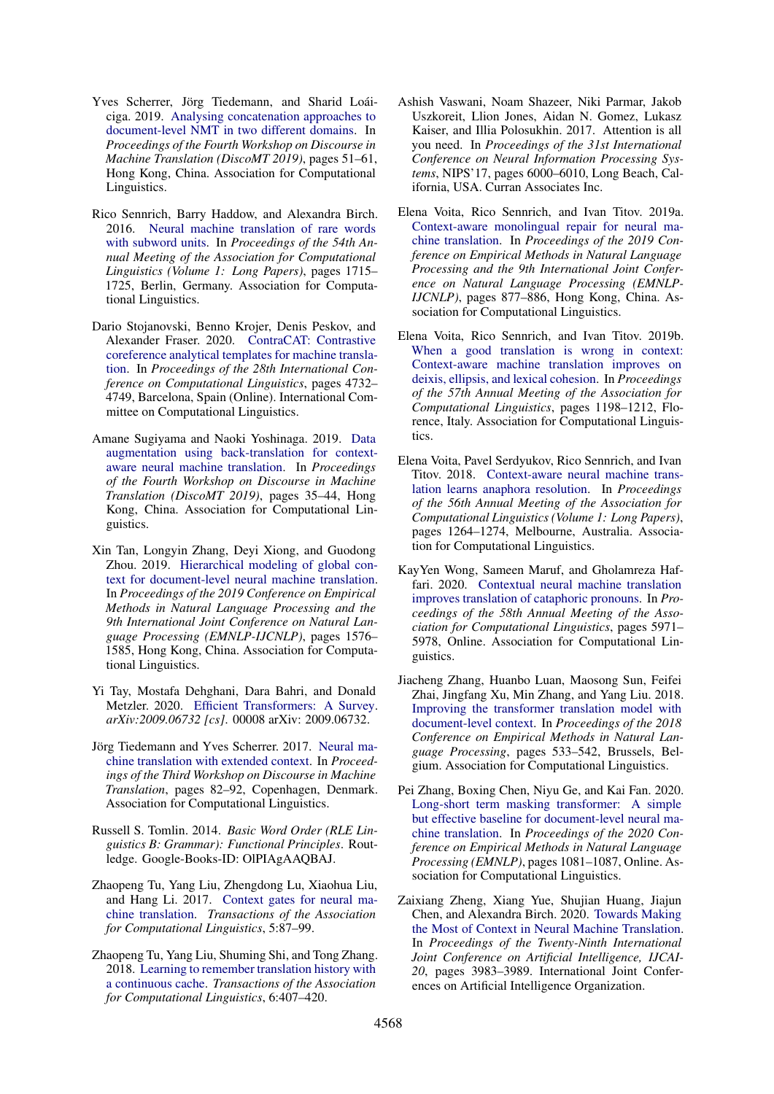- <span id="page-11-17"></span>Yves Scherrer, Jörg Tiedemann, and Sharid Loáiciga. 2019. [Analysing concatenation approaches to](https://doi.org/10.18653/v1/D19-6506) [document-level NMT in two different domains.](https://doi.org/10.18653/v1/D19-6506) In *Proceedings of the Fourth Workshop on Discourse in Machine Translation (DiscoMT 2019)*, pages 51–61, Hong Kong, China. Association for Computational Linguistics.
- <span id="page-11-16"></span>Rico Sennrich, Barry Haddow, and Alexandra Birch. 2016. [Neural machine translation of rare words](https://doi.org/10.18653/v1/P16-1162) [with subword units.](https://doi.org/10.18653/v1/P16-1162) In *Proceedings of the 54th Annual Meeting of the Association for Computational Linguistics (Volume 1: Long Papers)*, pages 1715– 1725, Berlin, Germany. Association for Computational Linguistics.
- <span id="page-11-7"></span>Dario Stojanovski, Benno Krojer, Denis Peskov, and Alexander Fraser. 2020. [ContraCAT: Contrastive](https://doi.org/10.18653/v1/2020.coling-main.417) [coreference analytical templates for machine transla](https://doi.org/10.18653/v1/2020.coling-main.417)[tion.](https://doi.org/10.18653/v1/2020.coling-main.417) In *Proceedings of the 28th International Conference on Computational Linguistics*, pages 4732– 4749, Barcelona, Spain (Online). International Committee on Computational Linguistics.
- <span id="page-11-6"></span>Amane Sugiyama and Naoki Yoshinaga. 2019. [Data](https://doi.org/10.18653/v1/D19-6504) [augmentation using back-translation for context](https://doi.org/10.18653/v1/D19-6504)[aware neural machine translation.](https://doi.org/10.18653/v1/D19-6504) In *Proceedings of the Fourth Workshop on Discourse in Machine Translation (DiscoMT 2019)*, pages 35–44, Hong Kong, China. Association for Computational Linguistics.
- <span id="page-11-12"></span>Xin Tan, Longyin Zhang, Deyi Xiong, and Guodong Zhou. 2019. [Hierarchical modeling of global con](https://doi.org/10.18653/v1/D19-1168)[text for document-level neural machine translation.](https://doi.org/10.18653/v1/D19-1168) In *Proceedings of the 2019 Conference on Empirical Methods in Natural Language Processing and the 9th International Joint Conference on Natural Language Processing (EMNLP-IJCNLP)*, pages 1576– 1585, Hong Kong, China. Association for Computational Linguistics.
- <span id="page-11-8"></span>Yi Tay, Mostafa Dehghani, Dara Bahri, and Donald Metzler. 2020. [Efficient Transformers: A Survey.](http://arxiv.org/abs/2009.06732) *arXiv:2009.06732 [cs]*. 00008 arXiv: 2009.06732.
- <span id="page-11-1"></span>Jörg Tiedemann and Yves Scherrer. 2017. [Neural ma](https://doi.org/10.18653/v1/W17-4811)[chine translation with extended context.](https://doi.org/10.18653/v1/W17-4811) In *Proceedings of the Third Workshop on Discourse in Machine Translation*, pages 82–92, Copenhagen, Denmark. Association for Computational Linguistics.
- <span id="page-11-15"></span>Russell S. Tomlin. 2014. *Basic Word Order (RLE Linguistics B: Grammar): Functional Principles*. Routledge. Google-Books-ID: OlPIAgAAQBAJ.
- <span id="page-11-3"></span>Zhaopeng Tu, Yang Liu, Zhengdong Lu, Xiaohua Liu, and Hang Li. 2017. [Context gates for neural ma](https://doi.org/10.1162/tacl_a_00048)[chine translation.](https://doi.org/10.1162/tacl_a_00048) *Transactions of the Association for Computational Linguistics*, 5:87–99.
- <span id="page-11-10"></span>Zhaopeng Tu, Yang Liu, Shuming Shi, and Tong Zhang. 2018. [Learning to remember translation history with](https://doi.org/10.1162/tacl_a_00029) [a continuous cache.](https://doi.org/10.1162/tacl_a_00029) *Transactions of the Association for Computational Linguistics*, 6:407–420.
- <span id="page-11-0"></span>Ashish Vaswani, Noam Shazeer, Niki Parmar, Jakob Uszkoreit, Llion Jones, Aidan N. Gomez, Lukasz Kaiser, and Illia Polosukhin. 2017. Attention is all you need. In *Proceedings of the 31st International Conference on Neural Information Processing Systems*, NIPS'17, pages 6000–6010, Long Beach, California, USA. Curran Associates Inc.
- <span id="page-11-13"></span>Elena Voita, Rico Sennrich, and Ivan Titov. 2019a. [Context-aware monolingual repair for neural ma](https://doi.org/10.18653/v1/D19-1081)[chine translation.](https://doi.org/10.18653/v1/D19-1081) In *Proceedings of the 2019 Conference on Empirical Methods in Natural Language Processing and the 9th International Joint Conference on Natural Language Processing (EMNLP-IJCNLP)*, pages 877–886, Hong Kong, China. Association for Computational Linguistics.
- <span id="page-11-11"></span>Elena Voita, Rico Sennrich, and Ivan Titov. 2019b. [When a good translation is wrong in context:](https://doi.org/10.18653/v1/P19-1116) [Context-aware machine translation improves on](https://doi.org/10.18653/v1/P19-1116) [deixis, ellipsis, and lexical cohesion.](https://doi.org/10.18653/v1/P19-1116) In *Proceedings of the 57th Annual Meeting of the Association for Computational Linguistics*, pages 1198–1212, Florence, Italy. Association for Computational Linguistics.
- <span id="page-11-4"></span>Elena Voita, Pavel Serdyukov, Rico Sennrich, and Ivan Titov. 2018. [Context-aware neural machine trans](https://doi.org/10.18653/v1/P18-1117)[lation learns anaphora resolution.](https://doi.org/10.18653/v1/P18-1117) In *Proceedings of the 56th Annual Meeting of the Association for Computational Linguistics (Volume 1: Long Papers)*, pages 1264–1274, Melbourne, Australia. Association for Computational Linguistics.
- <span id="page-11-14"></span>KayYen Wong, Sameen Maruf, and Gholamreza Haffari. 2020. [Contextual neural machine translation](https://doi.org/10.18653/v1/2020.acl-main.530) [improves translation of cataphoric pronouns.](https://doi.org/10.18653/v1/2020.acl-main.530) In *Proceedings of the 58th Annual Meeting of the Association for Computational Linguistics*, pages 5971– 5978, Online. Association for Computational Linguistics.
- <span id="page-11-9"></span>Jiacheng Zhang, Huanbo Luan, Maosong Sun, Feifei Zhai, Jingfang Xu, Min Zhang, and Yang Liu. 2018. [Improving the transformer translation model with](https://doi.org/10.18653/v1/D18-1049) [document-level context.](https://doi.org/10.18653/v1/D18-1049) In *Proceedings of the 2018 Conference on Empirical Methods in Natural Language Processing*, pages 533–542, Brussels, Belgium. Association for Computational Linguistics.
- <span id="page-11-2"></span>Pei Zhang, Boxing Chen, Niyu Ge, and Kai Fan. 2020. [Long-short term masking transformer: A simple](https://doi.org/10.18653/v1/2020.emnlp-main.81) [but effective baseline for document-level neural ma](https://doi.org/10.18653/v1/2020.emnlp-main.81)[chine translation.](https://doi.org/10.18653/v1/2020.emnlp-main.81) In *Proceedings of the 2020 Conference on Empirical Methods in Natural Language Processing (EMNLP)*, pages 1081–1087, Online. Association for Computational Linguistics.
- <span id="page-11-5"></span>Zaixiang Zheng, Xiang Yue, Shujian Huang, Jiajun Chen, and Alexandra Birch. 2020. [Towards Making](https://doi.org/10.24963/ijcai.2020/551) [the Most of Context in Neural Machine Translation.](https://doi.org/10.24963/ijcai.2020/551) In *Proceedings of the Twenty-Ninth International Joint Conference on Artificial Intelligence, IJCAI-20*, pages 3983–3989. International Joint Conferences on Artificial Intelligence Organization.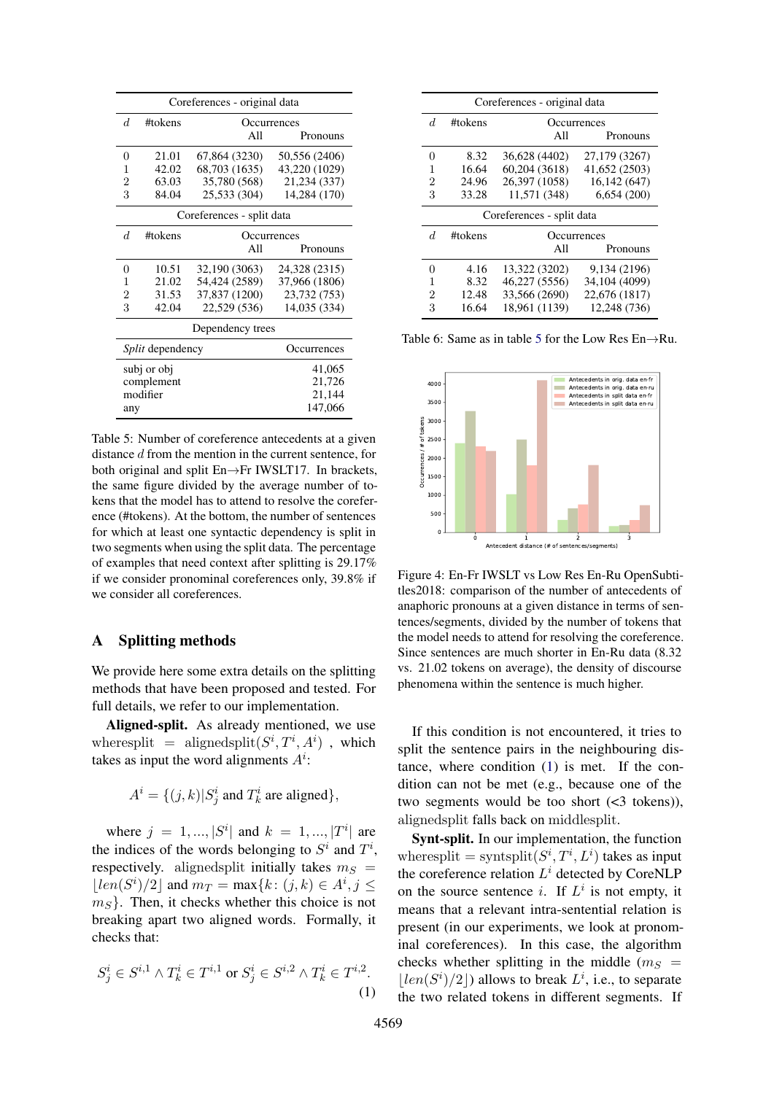<span id="page-12-1"></span>

| Coreferences - original data |             |                           |               |  |  |  |
|------------------------------|-------------|---------------------------|---------------|--|--|--|
| d.                           | #tokens     | Occurrences               |               |  |  |  |
|                              |             | All                       | Pronouns      |  |  |  |
| 0                            | 21.01       | 67,864 (3230)             | 50,556 (2406) |  |  |  |
| 1                            | 42.02       | 68,703 (1635)             | 43,220 (1029) |  |  |  |
| 2                            | 63.03       | 35,780 (568)              | 21,234 (337)  |  |  |  |
| 3                            | 84.04       | 25,533 (304)              | 14,284 (170)  |  |  |  |
|                              |             | Coreferences - split data |               |  |  |  |
| d.                           | #tokens     |                           | Occurrences   |  |  |  |
|                              |             | All                       | Pronouns      |  |  |  |
| $\overline{0}$               | 10.51       | 32,190 (3063)             | 24,328 (2315) |  |  |  |
| 1                            | 21.02       | 54,424 (2589)             | 37,966 (1806) |  |  |  |
| $\overline{2}$               | 31.53       | 37,837 (1200)             | 23,732 (753)  |  |  |  |
| 3                            | 42.04       | 22,529 (536)              | 14,035 (334)  |  |  |  |
|                              |             | Dependency trees          |               |  |  |  |
| <i>Split</i> dependency      |             |                           | Occurrences   |  |  |  |
|                              | subj or obj |                           | 41,065        |  |  |  |
|                              | complement  |                           | 21,726        |  |  |  |
|                              | modifier    |                           | 21,144        |  |  |  |
| any                          |             |                           | 147,066       |  |  |  |

Table 5: Number of coreference antecedents at a given distance d from the mention in the current sentence, for both original and split En→Fr IWSLT17. In brackets, the same figure divided by the average number of tokens that the model has to attend to resolve the coreference (#tokens). At the bottom, the number of sentences for which at least one syntactic dependency is split in two segments when using the split data. The percentage of examples that need context after splitting is 29.17% if we consider pronominal coreferences only, 39.8% if we consider all coreferences.

# <span id="page-12-0"></span>A Splitting methods

We provide here some extra details on the splitting methods that have been proposed and tested. For full details, we refer to our implementation.

Aligned-split. As already mentioned, we use where split = aligned split $(S^i, T^i, A^i)$ , which takes as input the word alignments  $A^i$ :

$$
A^i = \{ (j,k) | S_j^i \text{ and } T_k^i \text{ are aligned} \},
$$

where  $j = 1, ..., |S^i|$  and  $k = 1, ..., |T^i|$  are the indices of the words belonging to  $S^i$  and  $T^i$ , respectively. alignedsplit initially takes  $m<sub>S</sub>$  =  $\lfloor len(S^i)/2 \rfloor$  and  $m_T = \max\{k : (j,k) \in A^i, j \leq n\}$  $m<sub>S</sub>$ . Then, it checks whether this choice is not breaking apart two aligned words. Formally, it checks that:

$$
S_j^i \in S^{i,1} \wedge T_k^i \in T^{i,1} \text{ or } S_j^i \in S^{i,2} \wedge T_k^i \in T^{i,2}.\tag{1}
$$

<span id="page-12-3"></span>

| Coreferences - original data |         |                           |               |  |  |  |
|------------------------------|---------|---------------------------|---------------|--|--|--|
| d.                           | #tokens | Occurrences               |               |  |  |  |
|                              |         | All                       | Pronouns      |  |  |  |
| $\theta$                     | 8.32    | 36,628 (4402)             | 27,179 (3267) |  |  |  |
| 1                            | 16.64   | 60,204 (3618)             | 41,652 (2503) |  |  |  |
| 2                            | 24.96   | 26,397 (1058)             | 16,142 (647)  |  |  |  |
| 3                            | 33.28   | 11.571 (348)              | 6,654(200)    |  |  |  |
|                              |         |                           |               |  |  |  |
|                              |         | Coreferences - split data |               |  |  |  |
| d.                           | #tokens |                           | Occurrences   |  |  |  |
|                              |         | All                       | Pronouns      |  |  |  |
| $\mathbf{0}$                 | 4.16    | 13,322 (3202)             | 9,134 (2196)  |  |  |  |
| 1                            | 8.32    | 46,227 (5556)             | 34,104 (4099) |  |  |  |
| 2                            | 12.48   | 33,566 (2690)             | 22,676 (1817) |  |  |  |

Table 6: Same as in table [5](#page-12-1) for the Low Res En→Ru.

<span id="page-12-4"></span>

Figure 4: En-Fr IWSLT vs Low Res En-Ru OpenSubtitles2018: comparison of the number of antecedents of anaphoric pronouns at a given distance in terms of sentences/segments, divided by the number of tokens that the model needs to attend for resolving the coreference. Since sentences are much shorter in En-Ru data (8.32 vs. 21.02 tokens on average), the density of discourse phenomena within the sentence is much higher.

If this condition is not encountered, it tries to split the sentence pairs in the neighbouring distance, where condition [\(1\)](#page-12-2) is met. If the condition can not be met (e.g., because one of the two segments would be too short (<3 tokens)), alignedsplit falls back on middlesplit.

<span id="page-12-2"></span>Synt-split. In our implementation, the function where split = syntsplit $(S^i, T^i, L^i)$  takes as input the coreference relation  $L^i$  detected by CoreNLP on the source sentence *i*. If  $L^i$  is not empty, it means that a relevant intra-sentential relation is present (in our experiments, we look at pronominal coreferences). In this case, the algorithm checks whether splitting in the middle  $(m<sub>S</sub>)$  $\lfloor len(S^i)/2 \rfloor$  allows to break  $L^i$ , i.e., to separate the two related tokens in different segments. If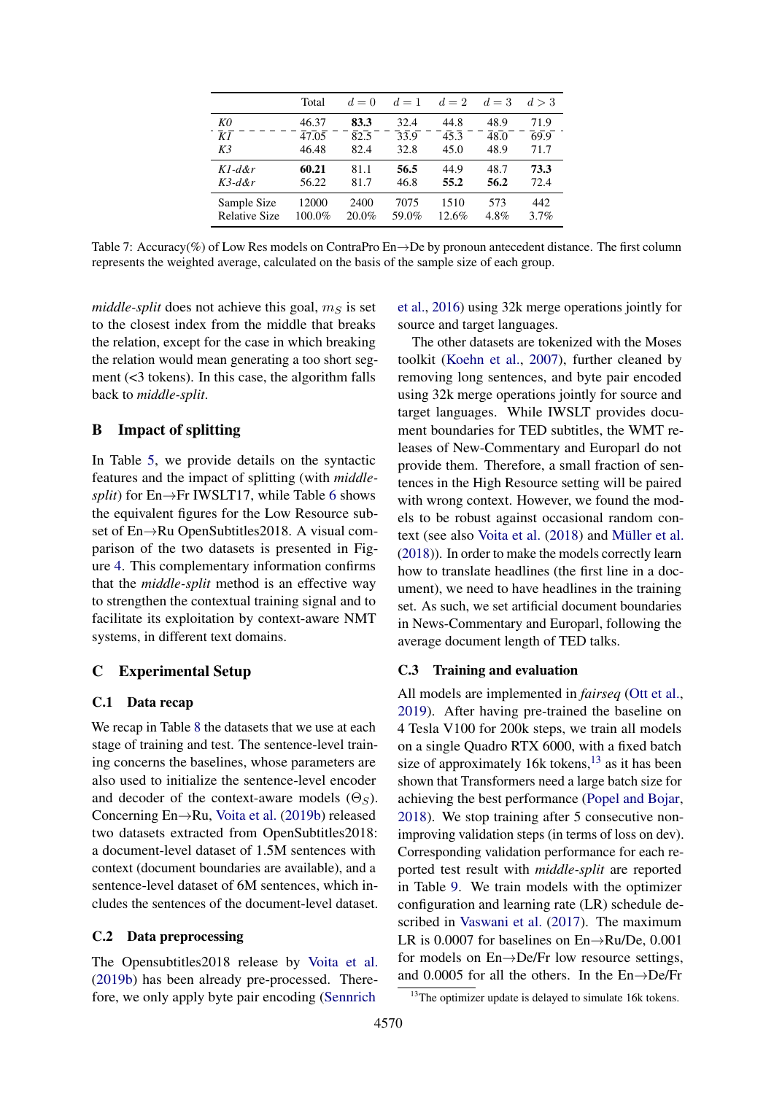<span id="page-13-3"></span>

|                      | Total  | $d=0$ | $d=1$ | $d=2$ | $d=3$ | d > 3 |
|----------------------|--------|-------|-------|-------|-------|-------|
| K0                   | 46.37  | 83.3  | 32.4  | 44.8  | 48.9  | 71.9  |
| $\overline{KI}$      | 47.05  | 82.5  | 33.9  | 45.3  | 48.0  | 69.9  |
| K <sub>3</sub>       | 46.48  | 82.4  | 32.8  | 45.0  | 48.9  | 71.7  |
| $Kl$ -d&r            | 60.21  | 81.1  | 56.5  | 44.9  | 48.7  | 73.3  |
| $K3-d&r$             | 56.22  | 81.7  | 46.8  | 55.2  | 56.2  | 72.4  |
| Sample Size          | 12000  | 2400  | 7075  | 1510  | 573   | 442   |
| <b>Relative Size</b> | 100.0% | 20.0% | 59.0% | 12.6% | 4.8%  | 3.7%  |

Table 7: Accuracy(%) of Low Res models on ContraPro En→De by pronoun antecedent distance. The first column represents the weighted average, calculated on the basis of the sample size of each group.

*middle-split* does not achieve this goal,  $m<sub>S</sub>$  is set to the closest index from the middle that breaks the relation, except for the case in which breaking the relation would mean generating a too short segment (<3 tokens). In this case, the algorithm falls back to *middle-split*.

# <span id="page-13-0"></span>B Impact of splitting

In Table [5,](#page-12-1) we provide details on the syntactic features and the impact of splitting (with *middlesplit*) for En→Fr IWSLT17, while Table [6](#page-12-3) shows the equivalent figures for the Low Resource subset of En→Ru OpenSubtitles2018. A visual comparison of the two datasets is presented in Figure [4.](#page-12-4) This complementary information confirms that the *middle-split* method is an effective way to strengthen the contextual training signal and to facilitate its exploitation by context-aware NMT systems, in different text domains.

# <span id="page-13-1"></span>C Experimental Setup

#### C.1 Data recap

We recap in Table [8](#page-14-1) the datasets that we use at each stage of training and test. The sentence-level training concerns the baselines, whose parameters are also used to initialize the sentence-level encoder and decoder of the context-aware models  $(\Theta_S)$ . Concerning En→Ru, [Voita et al.](#page-11-11) [\(2019b\)](#page-11-11) released two datasets extracted from OpenSubtitles2018: a document-level dataset of 1.5M sentences with context (document boundaries are available), and a sentence-level dataset of 6M sentences, which includes the sentences of the document-level dataset.

### C.2 Data preprocessing

The Opensubtitles2018 release by [Voita et al.](#page-11-11) [\(2019b\)](#page-11-11) has been already pre-processed. Therefore, we only apply byte pair encoding [\(Sennrich](#page-11-16)

[et al.,](#page-11-16) [2016\)](#page-11-16) using 32k merge operations jointly for source and target languages.

The other datasets are tokenized with the Moses toolkit [\(Koehn et al.,](#page-9-10) [2007\)](#page-9-10), further cleaned by removing long sentences, and byte pair encoded using 32k merge operations jointly for source and target languages. While IWSLT provides document boundaries for TED subtitles, the WMT releases of New-Commentary and Europarl do not provide them. Therefore, a small fraction of sentences in the High Resource setting will be paired with wrong context. However, we found the models to be robust against occasional random context (see also [Voita et al.](#page-11-4) [\(2018\)](#page-11-4) and [Müller et al.](#page-10-10) [\(2018\)](#page-10-10)). In order to make the models correctly learn how to translate headlines (the first line in a document), we need to have headlines in the training set. As such, we set artificial document boundaries in News-Commentary and Europarl, following the average document length of TED talks.

### C.3 Training and evaluation

All models are implemented in *fairseq* [\(Ott et al.,](#page-10-15) [2019\)](#page-10-15). After having pre-trained the baseline on 4 Tesla V100 for 200k steps, we train all models on a single Quadro RTX 6000, with a fixed batch size of approximately 16k tokens, $^{13}$  $^{13}$  $^{13}$  as it has been shown that Transformers need a large batch size for achieving the best performance [\(Popel and Bojar,](#page-10-16) [2018\)](#page-10-16). We stop training after 5 consecutive nonimproving validation steps (in terms of loss on dev). Corresponding validation performance for each reported test result with *middle-split* are reported in Table [9.](#page-14-2) We train models with the optimizer configuration and learning rate (LR) schedule described in [Vaswani et al.](#page-11-0) [\(2017\)](#page-11-0). The maximum LR is 0.0007 for baselines on  $En \rightarrow Ru/De$ , 0.001 for models on En→De/Fr low resource settings, and 0.0005 for all the others. In the  $En \rightarrow De/Fr$ 

<span id="page-13-2"></span><sup>&</sup>lt;sup>13</sup>The optimizer update is delayed to simulate 16k tokens.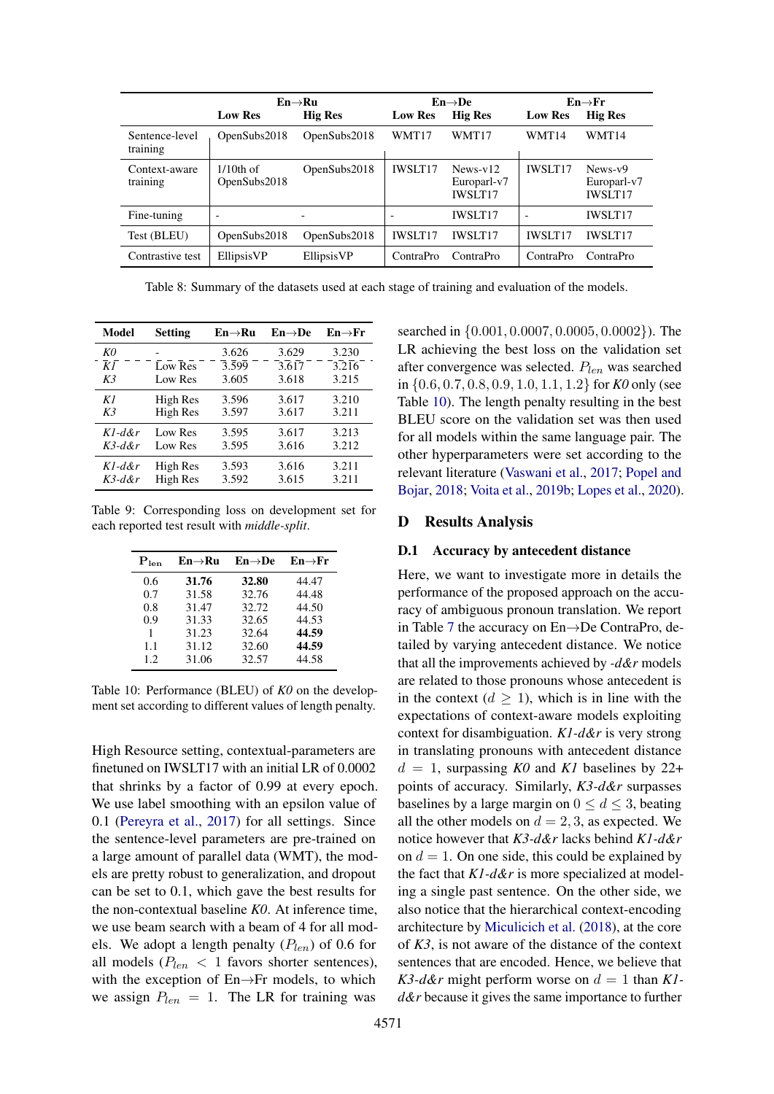<span id="page-14-1"></span>

|                            | $En \rightarrow Ru$          |                          |                          | $En \rightarrow De$                         |                          | $En \rightarrow Fr$                        |  |
|----------------------------|------------------------------|--------------------------|--------------------------|---------------------------------------------|--------------------------|--------------------------------------------|--|
|                            | <b>Low Res</b>               | <b>Hig Res</b>           | <b>Low Res</b>           | <b>Hig Res</b>                              | <b>Low Res</b>           | <b>Hig Res</b>                             |  |
| Sentence-level<br>training | OpenSubs2018                 | OpenSubs2018             | WMT17                    | WMT17                                       | WMT14                    | WMT14                                      |  |
| Context-aware<br>training  | $1/10$ th of<br>OpenSubs2018 | OpenSubs2018             | <b>IWSLT17</b>           | $News-v12$<br>Europarl-v7<br><b>IWSLT17</b> | <b>IWSLT17</b>           | $News-v9$<br>Europarl-v7<br><b>IWSLT17</b> |  |
| Fine-tuning                | $\overline{\phantom{0}}$     | $\overline{\phantom{0}}$ | $\overline{\phantom{0}}$ | <b>IWSLT17</b>                              | $\overline{\phantom{a}}$ | <b>IWSLT17</b>                             |  |
| Test (BLEU)                | OpenSubs2018                 | OpenSubs2018             | <b>IWSLT17</b>           | <b>IWSLT17</b>                              | <b>IWSLT17</b>           | <b>IWSLT17</b>                             |  |
| Contrastive test           | EllipsisVP                   | EllipsisVP               | ContraPro                | ContraPro                                   | ContraPro                | ContraPro                                  |  |

Table 8: Summary of the datasets used at each stage of training and evaluation of the models.

<span id="page-14-2"></span>

| Model           | <b>Setting</b> | En→Ru              | $En \rightarrow De$ | $En \rightarrow Fr$ |
|-----------------|----------------|--------------------|---------------------|---------------------|
| K0              |                | 3.626              | 3.629               | 3.230               |
| $\overline{KI}$ | Low Res        | $\overline{3.599}$ | 3.617               | 3.216               |
| K <sub>3</sub>  | Low Res        | 3.605              | 3.618               | 3.215               |
| K1              | High Res       | 3.596              | 3.617               | 3.210               |
| K3              | High Res       | 3.597              | 3.617               | 3.211               |
| $Kl$ -d&r       | Low Res        | 3.595              | 3.617               | 3.213               |
| $K$ 3-d&r       | Low Res        | 3.595              | 3.616               | 3.212               |
| $Kl$ -d&r       | High Res       | 3.593              | 3.616               | 3.211               |
| $K$ 3-d&r       | High Res       | 3.592              | 3.615               | 3.211               |

<span id="page-14-3"></span>Table 9: Corresponding loss on development set for each reported test result with *middle-split*.

| $P_{len}$ | $En \rightarrow Ru$ | $En \rightarrow De$ | $En \rightarrow Fr$ |
|-----------|---------------------|---------------------|---------------------|
| 0.6       | 31.76               | 32.80               | 44.47               |
| 0.7       | 31.58               | 32.76               | 44.48               |
| 0.8       | 31.47               | 32.72               | 44.50               |
| 0.9       | 31.33               | 32.65               | 44.53               |
| 1         | 31.23               | 32.64               | 44.59               |
| 1.1       | 31.12               | 32.60               | 44.59               |
| 1.2.      | 31.06               | 32.57               | 44.58               |

Table 10: Performance (BLEU) of *K0* on the development set according to different values of length penalty.

High Resource setting, contextual-parameters are finetuned on IWSLT17 with an initial LR of 0.0002 that shrinks by a factor of 0.99 at every epoch. We use label smoothing with an epsilon value of 0.1 [\(Pereyra et al.,](#page-10-17) [2017\)](#page-10-17) for all settings. Since the sentence-level parameters are pre-trained on a large amount of parallel data (WMT), the models are pretty robust to generalization, and dropout can be set to 0.1, which gave the best results for the non-contextual baseline *K0*. At inference time, we use beam search with a beam of 4 for all models. We adopt a length penalty  $(P_{len})$  of 0.6 for all models ( $P_{len}$  < 1 favors shorter sentences), with the exception of En→Fr models, to which we assign  $P_{len} = 1$ . The LR for training was

searched in {0.001, 0.0007, 0.0005, 0.0002}). The LR achieving the best loss on the validation set after convergence was selected.  $P_{len}$  was searched in {0.6, 0.7, 0.8, 0.9, 1.0, 1.1, 1.2} for *K0* only (see Table [10\)](#page-14-3). The length penalty resulting in the best BLEU score on the validation set was then used for all models within the same language pair. The other hyperparameters were set according to the relevant literature [\(Vaswani et al.,](#page-11-0) [2017;](#page-11-0) [Popel and](#page-10-16) [Bojar,](#page-10-16) [2018;](#page-10-16) [Voita et al.,](#page-11-11) [2019b;](#page-11-11) [Lopes et al.,](#page-10-4) [2020\)](#page-10-4).

### <span id="page-14-0"></span>D Results Analysis

# D.1 Accuracy by antecedent distance

Here, we want to investigate more in details the performance of the proposed approach on the accuracy of ambiguous pronoun translation. We report in Table [7](#page-13-3) the accuracy on En→De ContraPro, detailed by varying antecedent distance. We notice that all the improvements achieved by *-d&r* models are related to those pronouns whose antecedent is in the context  $(d \geq 1)$ , which is in line with the expectations of context-aware models exploiting context for disambiguation. *K1-d&r* is very strong in translating pronouns with antecedent distance  $d = 1$ , surpassing *K0* and *K1* baselines by 22+ points of accuracy. Similarly, *K3-d&r* surpasses baselines by a large margin on  $0 \le d \le 3$ , beating all the other models on  $d = 2, 3$ , as expected. We notice however that *K3-d&r* lacks behind *K1-d&r* on  $d = 1$ . On one side, this could be explained by the fact that *K1-d&r* is more specialized at modeling a single past sentence. On the other side, we also notice that the hierarchical context-encoding architecture by [Miculicich et al.](#page-10-2) [\(2018\)](#page-10-2), at the core of *K3*, is not aware of the distance of the context sentences that are encoded. Hence, we believe that  $K3-d\&r$  might perform worse on  $d = 1$  than  $K1$ *d&r* because it gives the same importance to further